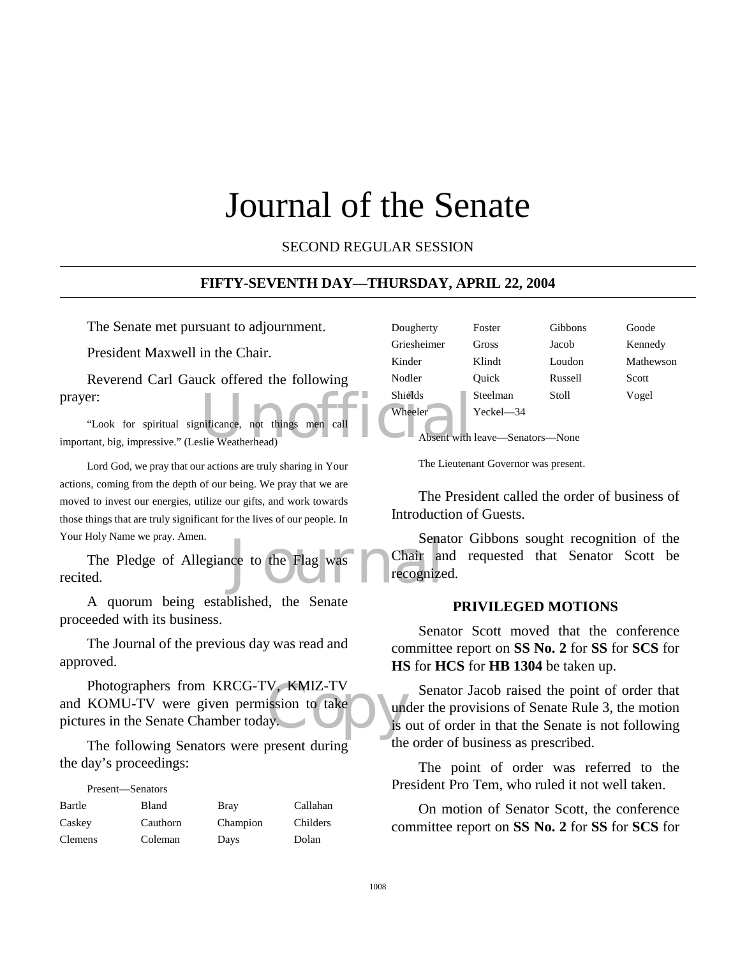# Journal of the Senate

SECOND REGULAR SESSION

#### **FIFTY-SEVENTH DAY—THURSDAY, APRIL 22, 2004**

The Senate met pursuant to adjournment.

President Maxwell in the Chair.

Reverend Carl Gauck offered the following prayer:

Shields<br>
nificance, not things men call<br>
Nheeler<br>
Absent with "Look for spiritual significance, not things men call important, big, impressive." (Leslie Weatherhead)

Lord God, we pray that our actions are truly sharing in Your actions, coming from the depth of our being. We pray that we are moved to invest our energies, utilize our gifts, and work towards those things that are truly significant for the lives of our people. In Your Holy Name we pray. Amen.

Sena<br>
Indeed to the Flag was Chair and Chair and the Sena<br>
The Cognize The Pledge of Allegiance to the Flag was recited.

A quorum being established, the Senate proceeded with its business.

The Journal of the previous day was read and approved.

V, KMIZ-TV<br>ission to take ly. Photographers from KRCG-TV, KMIZ-TV and KOMU-TV were given permission to take pictures in the Senate Chamber today.

The following Senators were present during the day's proceedings:

| Present—Senators |          |             |          |
|------------------|----------|-------------|----------|
| Bartle           | Bland    | <b>Bray</b> | Callahan |
| Caskey           | Cauthorn | Champion    | Childers |
| <b>Clemens</b>   | Coleman  | Days        | Dolan    |

| Dougherty   | Foster    | Gibbons | Goode     |
|-------------|-----------|---------|-----------|
| Griesheimer | Gross     | Jacob   | Kennedy   |
| Kinder      | Klindt    | Loudon  | Mathewson |
| Nodler      | Ouick     | Russell | Scott     |
| Shields     | Steelman  | Stoll   | Vogel     |
| Wheeler     | Yeckel-34 |         |           |

Absent with leave—Senators—None

The Lieutenant Governor was present.

The President called the order of business of Introduction of Guests.

Senator Gibbons sought recognition of the Chair and requested that Senator Scott be recognized.

#### **PRIVILEGED MOTIONS**

Senator Scott moved that the conference committee report on **SS No. 2** for **SS** for **SCS** for **HS** for **HCS** for **HB 1304** be taken up.

Senator Jacob raised the point of order that under the provisions of Senate Rule 3, the motion is out of order in that the Senate is not following the order of business as prescribed.

The point of order was referred to the President Pro Tem, who ruled it not well taken.

On motion of Senator Scott, the conference committee report on **SS No. 2** for **SS** for **SCS** for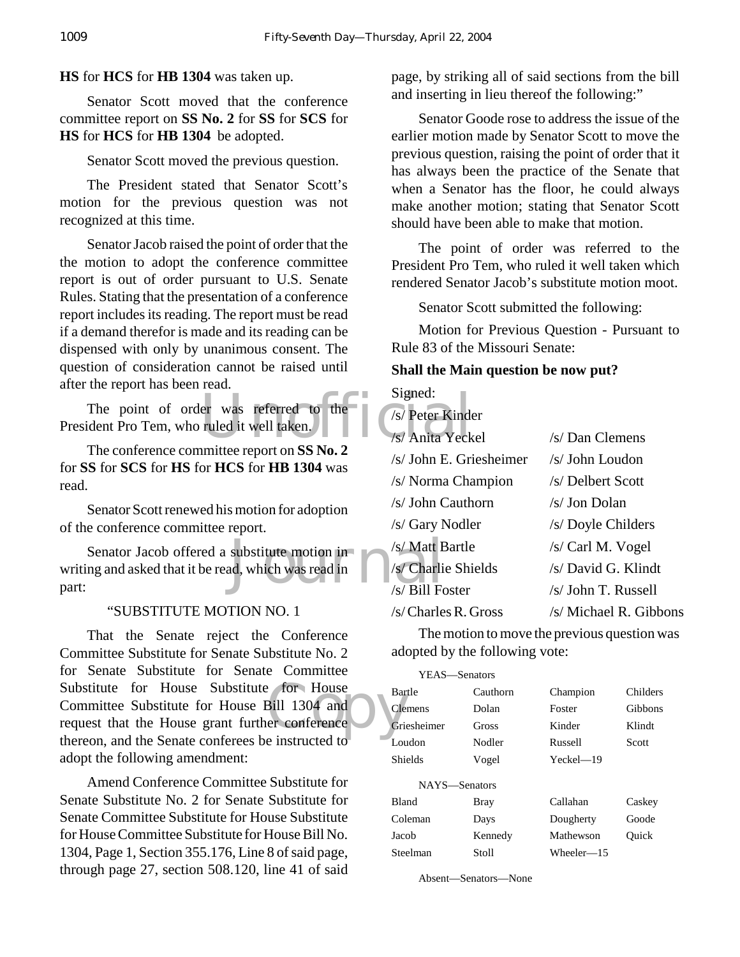**HS** for **HCS** for **HB 1304** was taken up.

Senator Scott moved that the conference committee report on **SS No. 2** for **SS** for **SCS** for **HS** for **HCS** for **HB 1304** be adopted.

Senator Scott moved the previous question.

The President stated that Senator Scott's motion for the previous question was not recognized at this time.

Senator Jacob raised the point of order that the the motion to adopt the conference committee report is out of order pursuant to U.S. Senate Rules. Stating that the presentation of a conference report includes its reading. The report must be read if a demand therefor is made and its reading can be dispensed with only by unanimous consent. The question of consideration cannot be raised until after the report has been read.

er was referred to the<br>ruled it well taken.<br>witter appear on SS No. 2 The point of order was referred to the President Pro Tem, who ruled it well taken.

The conference committee report on **SS No. 2** for **SS** for **SCS** for **HS** for **HCS** for **HB 1304** was read.

Senator Scott renewed his motion for adoption of the conference committee report.

substitute motion in  $\frac{\sqrt{s}}{\sqrt{s}}$  Charlier Made was read in  $\frac{\sqrt{s}}{\sqrt{s}}$  Bill Form Senator Jacob offered a substitute motion in writing and asked that it be read, which was read in part:

#### "SUBSTITUTE MOTION NO. 1

Substitute for House Substitute for House Bar<br>
Committee Substitute for House Bill 1304 and<br>
request that the House grant further conference<br>
thereon and the Sanate conferees be instructed to That the Senate reject the Conference Committee Substitute for Senate Substitute No. 2 for Senate Substitute for Senate Committee Committee Substitute for House Bill 1304 and request that the House grant further conference thereon, and the Senate conferees be instructed to adopt the following amendment:

Amend Conference Committee Substitute for Senate Substitute No. 2 for Senate Substitute for Senate Committee Substitute for House Substitute for House Committee Substitute for House Bill No. 1304, Page 1, Section 355.176, Line 8 of said page, through page 27, section 508.120, line 41 of said page, by striking all of said sections from the bill and inserting in lieu thereof the following:"

Senator Goode rose to address the issue of the earlier motion made by Senator Scott to move the previous question, raising the point of order that it has always been the practice of the Senate that when a Senator has the floor, he could always make another motion; stating that Senator Scott should have been able to make that motion.

The point of order was referred to the President Pro Tem, who ruled it well taken which rendered Senator Jacob's substitute motion moot.

Senator Scott submitted the following:

Motion for Previous Question - Pursuant to Rule 83 of the Missouri Senate:

#### **Shall the Main question be now put?**

Signed:

| /s/ Peter Kinder         |                        |
|--------------------------|------------------------|
| /s/ Anita Yeckel         | /s/ Dan Clemens        |
| $/s$ John E. Griesheimer | /s/ John Loudon        |
| /s/ Norma Champion       | /s/ Delbert Scott      |
| /s/ John Cauthorn        | /s/ Jon Dolan          |
| /s/ Gary Nodler          | /s/ Doyle Childers     |
| /s/ Matt Bartle          | /s/ Carl M. Vogel      |
| /s/ Charlie Shields      | /s/ David G. Klindt    |
| /s/ Bill Foster          | /s/ John T. Russell    |
| $/s/C$ harles R. Gross   | /s/ Michael R. Gibbons |
|                          |                        |

The motion to move the previous question was adopted by the following vote:

| YEAS—Senators  |          |               |          |
|----------------|----------|---------------|----------|
| Bartle         | Cauthorn | Champion      | Childers |
| Clemens        | Dolan    | Foster        | Gibbons  |
| Griesheimer    | Gross    | Kinder        | Klindt   |
| Loudon         | Nodler   | Russell       | Scott    |
| <b>Shields</b> | Vogel    | $Yeckel = 19$ |          |
| NAYS—Senators  |          |               |          |
| <b>Bland</b>   | Bray     | Callahan      | Caskey   |
| Coleman        | Days     | Dougherty     | Goode    |
| Jacob          | Kennedy  | Mathewson     | Ouick    |
| Steelman       | Stoll    | Wheeler—15    |          |
|                |          |               |          |

Absent—Senators—None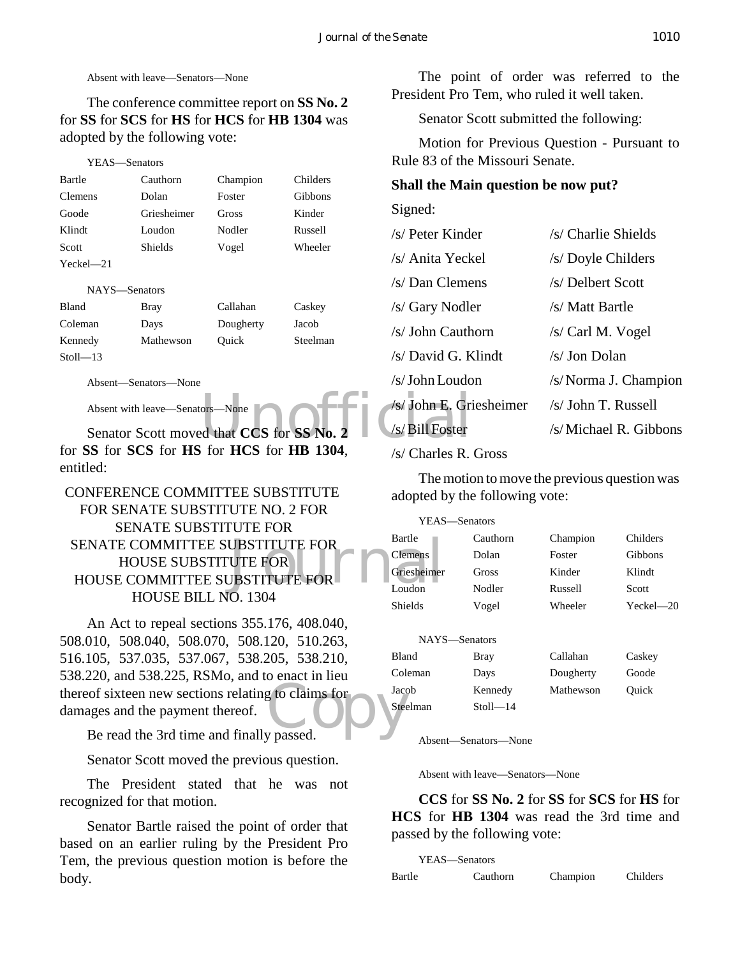Absent with leave—Senators—None

The conference committee report on **SS No. 2** for **SS** for **SCS** for **HS** for **HCS** for **HB 1304** was adopted by the following vote:

#### YEAS—Senators

| Bartle         | Cauthorn       | Champion | Childers       |
|----------------|----------------|----------|----------------|
| <b>Clemens</b> | Dolan          | Foster   | <b>Gibbons</b> |
| Goode          | Griesheimer    | Gross    | Kinder         |
| Klindt         | Loudon         | Nodler   | Russell        |
| <b>Scott</b>   | <b>Shields</b> | Vogel    | Wheeler        |
| $Yeckel - 21$  |                |          |                |
| NAYS—Senators  |                |          |                |
|                |                |          |                |

| Bland        | Bray      | Callahan  | Caskey   |
|--------------|-----------|-----------|----------|
| Coleman      | Days      | Dougherty | Jacob    |
| Kennedy      | Mathewson | Ouick     | Steelman |
| $Stoll - 13$ |           |           |          |

Absent—Senators—None

Absent with leave—Senators—None

Senator Scott moved that **CCS** for **SS** No. for **SS** for **SCS** for **HS** for **HCS** for **HB 1304**, entitled:

# SENATE COMMITTEE SUBSTITUTE FOR<br>
HOUSE SUBSTITUTE FOR<br>
HOUSE COMMITTEE SUBSTITUTE FOR<br>
Loudon<br>
Loudon CONFERENCE COMMITTEE SUBSTITUTE FOR SENATE SUBSTITUTE NO. 2 FOR SENATE SUBSTITUTE FOR HOUSE SUBSTITUTE FOR HOUSE COMMITTEE SUBSTITUTE FOR HOUSE BILL NO. 1304

thereof sixteen new sections relating to claims for<br>damages and the payment thereof.<br>Be read the 3rd time and finally passed. An Act to repeal sections 355.176, 408.040, 508.010, 508.040, 508.070, 508.120, 510.263, 516.105, 537.035, 537.067, 538.205, 538.210, 538.220, and 538.225, RSMo, and to enact in lieu damages and the payment thereof.

Be read the 3rd time and finally passed.

Senator Scott moved the previous question.

The President stated that he was not recognized for that motion.

Senator Bartle raised the point of order that based on an earlier ruling by the President Pro Tem, the previous question motion is before the body.

The point of order was referred to the President Pro Tem, who ruled it well taken.

Senator Scott submitted the following:

Motion for Previous Question - Pursuant to Rule 83 of the Missouri Senate.

#### **Shall the Main question be now put?**

Signed:

| Nodler                                            | Russell           | /s/ Peter Kinder            | /s/ Charlie Shields   |
|---------------------------------------------------|-------------------|-----------------------------|-----------------------|
| Vogel                                             | Wheeler           | /s/ Anita Yeckel            | /s/ Doyle Childers    |
|                                                   |                   | /s/ Dan Clemens             | /s/ Delbert Scott     |
| Callahan                                          | Caskey            | /s/ Gary Nodler             | /s/ Matt Bartle       |
| Dougherty<br>Ouick                                | Jacob<br>Steelman | /s/ John Cauthorn           | /s/ Carl M. Vogel     |
|                                                   |                   | /s/ David G. Klindt         | $/s/$ Jon Dolan       |
|                                                   |                   | /s/John Loudon              | /s/Norma J. Champion  |
| ors—None                                          |                   | /s/ John E. Griesheimer     | /s/ John T. Russell   |
| ed that CCS for SS No. 2                          |                   | /s/Bill Foster              | /s/Michael R. Gibbons |
| $f_{\alpha\alpha}$ Her $f_{\alpha\alpha}$ HD 1204 |                   | $\sim$ $\sim$ $\sim$ $\sim$ |                       |

#### /s/ Charles R. Gross

The motion to move the previous question was adopted by the following vote:

| YEAS—Senators  |          |          |               |
|----------------|----------|----------|---------------|
| Bartle         | Cauthorn | Champion | Childers      |
| <b>Clemens</b> | Dolan    | Foster   | Gibbons       |
| Griesheimer    | Gross    | Kinder   | Klindt        |
| Loudon         | Nodler   | Russell  | Scott         |
| <b>Shields</b> | Vogel    | Wheeler  | $Yeckel - 20$ |
|                |          |          |               |

| NAYS—Senators |              |           |        |
|---------------|--------------|-----------|--------|
| Bland         | <b>Bray</b>  | Callahan  | Caskey |
| Coleman       | Days         | Dougherty | Goode  |
| Jacob         | Kennedy      | Mathewson | Ouick  |
| Steelman      | $Stoll - 14$ |           |        |

Absent—Senators—None

Absent with leave—Senators—None

**CCS** for **SS No. 2** for **SS** for **SCS** for **HS** for **HCS** for **HB 1304** was read the 3rd time and passed by the following vote:

| YEAS—Senators |          |          |          |
|---------------|----------|----------|----------|
| Bartle        | Cauthorn | Champion | Childers |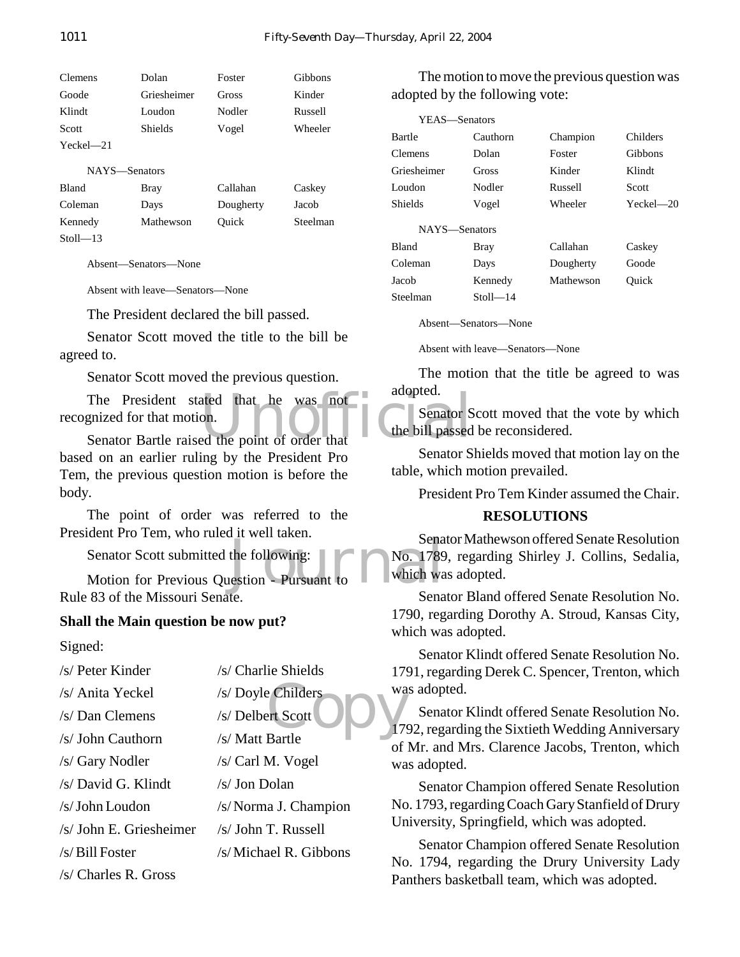| <b>Clemens</b> | Dolan       | Foster   | Gibbons |
|----------------|-------------|----------|---------|
| Goode          | Griesheimer | Gross    | Kinder  |
| Klindt         | Loudon      | Nodler   | Russell |
| Scott          | Shields     | Vogel    | Wheeler |
| $Yeckel - 21$  |             |          |         |
| NAYS—Senators  |             |          |         |
| <b>Bland</b>   | Bray        | Callahan | Caskey  |

| Coleman      | Days      | Dougherty | Jacob    |
|--------------|-----------|-----------|----------|
| Kennedy      | Mathewson | Ouick     | Steelman |
| $Stoll - 13$ |           |           |          |

Absent—Senators—None

Absent with leave—Senators—None

The President declared the bill passed.

Senator Scott moved the title to the bill be agreed to.

Senator Scott moved the previous question.

The President stated that he was not adopted.<br>
Senator Bartle raised the point of order that recognized for that motion.

Senator Bartle raised the point of order that based on an earlier ruling by the President Pro Tem, the previous question motion is before the body.

The point of order was referred to the President Pro Tem, who ruled it well taken.

Senator Scott submitted the following:

Senator Scott submitted the following:<br>Motion for Previous Question - Pursuant to Table which was Rule 83 of the Missouri Senate.

#### **Shall the Main question be now put?**

Signed:

- /s/ Peter Kinder /s/ Charlie Shields
- /s/ Anita Yeckel /s/ Doyle Childers
- /s/ Dan Clemens /s/ Delbert Scott
- /s/ John Cauthorn /s/ Matt Bartle
- /s/ Gary Nodler /s/ Carl M. Vogel
- $/s/David G.$  Klindt  $/s/Jon Dolan$
- /s/ John Loudon /s/ Norma J. Champion
- /s/ John E. Griesheimer /s/ John T. Russell
- /s/ Bill Foster /s/ Michael R. Gibbons
- /s/ Charles R. Gross

The motion to move the previous question was adopted by the following vote:

| YEAS-Senators |              |           |           |
|---------------|--------------|-----------|-----------|
| Bartle        | Cauthorn     | Champion  | Childers  |
| Clemens       | Dolan        | Foster    | Gibbons   |
| Griesheimer   | Gross        | Kinder    | Klindt    |
| Loudon        | Nodler       | Russell   | Scott     |
| Shields       | Vogel        | Wheeler   | Yeckel—20 |
| NAYS-Senators |              |           |           |
| <b>Bland</b>  | Bray         | Callahan  | Caskey    |
| Coleman       | Days         | Dougherty | Goode     |
| Jacob         | Kennedy      | Mathewson | Ouick     |
| Steelman      | $Stoll = 14$ |           |           |
|               |              |           |           |

Absent—Senators—None

Absent with leave—Senators—None

The motion that the title be agreed to was adopted.

Senator Scott moved that the vote by which the bill passed be reconsidered.

Senator Shields moved that motion lay on the table, which motion prevailed.

President Pro Tem Kinder assumed the Chair.

#### **RESOLUTIONS**

Senator Mathewson offered Senate Resolution No. 1789, regarding Shirley J. Collins, Sedalia, which was adopted.

Senator Bland offered Senate Resolution No. 1790, regarding Dorothy A. Stroud, Kansas City, which was adopted.

Senator Klindt offered Senate Resolution No. 1791, regarding Derek C. Spencer, Trenton, which was adopted.

e Childers<br>ert Scott<br>Bartle Senator Klindt offered Senate Resolution No. 1792, regarding the Sixtieth Wedding Anniversary of Mr. and Mrs. Clarence Jacobs, Trenton, which was adopted.

> Senator Champion offered Senate Resolution No. 1793, regarding Coach Gary Stanfield of Drury University, Springfield, which was adopted.

> Senator Champion offered Senate Resolution No. 1794, regarding the Drury University Lady Panthers basketball team, which was adopted.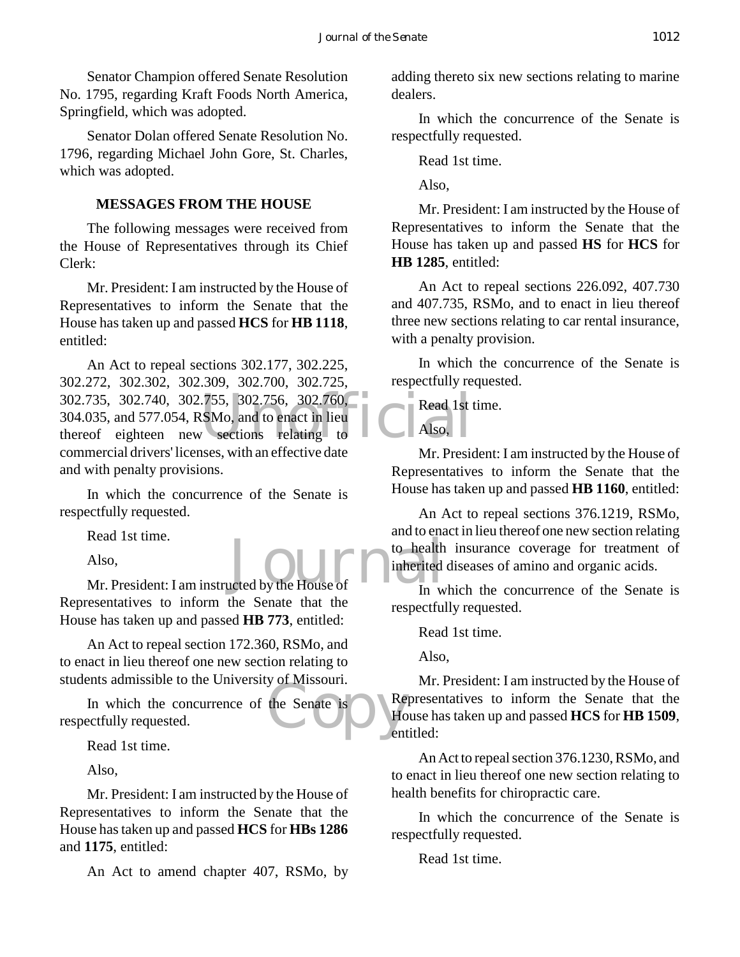Senator Champion offered Senate Resolution No. 1795, regarding Kraft Foods North America, Springfield, which was adopted.

Senator Dolan offered Senate Resolution No. 1796, regarding Michael John Gore, St. Charles, which was adopted.

#### **MESSAGES FROM THE HOUSE**

The following messages were received from the House of Representatives through its Chief Clerk:

Mr. President: I am instructed by the House of Representatives to inform the Senate that the House has taken up and passed **HCS** for **HB 1118**, entitled:

302.735, 302.740, 302.755, 302.756, 302.760,<br>304.035, and 577.054, RSMo, and to enact in lieu<br>thereof eighteen new sections relating to Also, An Act to repeal sections 302.177, 302.225, 302.272, 302.302, 302.309, 302.700, 302.725, 304.035, and 577.054, RSMo, and to enact in lieu thereof eighteen new sections relating to commercial drivers' licenses, with an effective date and with penalty provisions.

In which the concurrence of the Senate is respectfully requested.

Read 1st time.

Also,

Read 1st time.<br>
Also,<br>
Mr. President: I am instructed by the House of In w Representatives to inform the Senate that the House has taken up and passed **HB 773**, entitled:

An Act to repeal section 172.360, RSMo, and to enact in lieu thereof one new section relating to students admissible to the University of Missouri.

the Senate is Hotel Hotel Contract to the Senate is Hotel Hotel Contract Contract Contract Contract Contract Contract Contract Contract Contract Contract Contract Contract Contract Contract Contract Contract Contract Contr In which the concurrence of the Senate is respectfully requested.

Read 1st time.

Also,

Mr. President: I am instructed by the House of Representatives to inform the Senate that the House has taken up and passed **HCS** for **HBs 1286** and **1175**, entitled:

An Act to amend chapter 407, RSMo, by

adding thereto six new sections relating to marine dealers.

In which the concurrence of the Senate is respectfully requested.

Read 1st time.

Also,

Mr. President: I am instructed by the House of Representatives to inform the Senate that the House has taken up and passed **HS** for **HCS** for **HB 1285**, entitled:

An Act to repeal sections 226.092, 407.730 and 407.735, RSMo, and to enact in lieu thereof three new sections relating to car rental insurance, with a penalty provision.

In which the concurrence of the Senate is respectfully requested.

Read 1st time.

Also,

Mr. President: I am instructed by the House of Representatives to inform the Senate that the House has taken up and passed **HB 1160**, entitled:

An Act to repeal sections 376.1219, RSMo, and to enact in lieu thereof one new section relating to health insurance coverage for treatment of inherited diseases of amino and organic acids.

In which the concurrence of the Senate is respectfully requested.

Read 1st time.

Also,

Mr. President: I am instructed by the House of Representatives to inform the Senate that the House has taken up and passed **HCS** for **HB 1509**, entitled:

An Act to repeal section 376.1230, RSMo, and to enact in lieu thereof one new section relating to health benefits for chiropractic care.

In which the concurrence of the Senate is respectfully requested.

Read 1st time.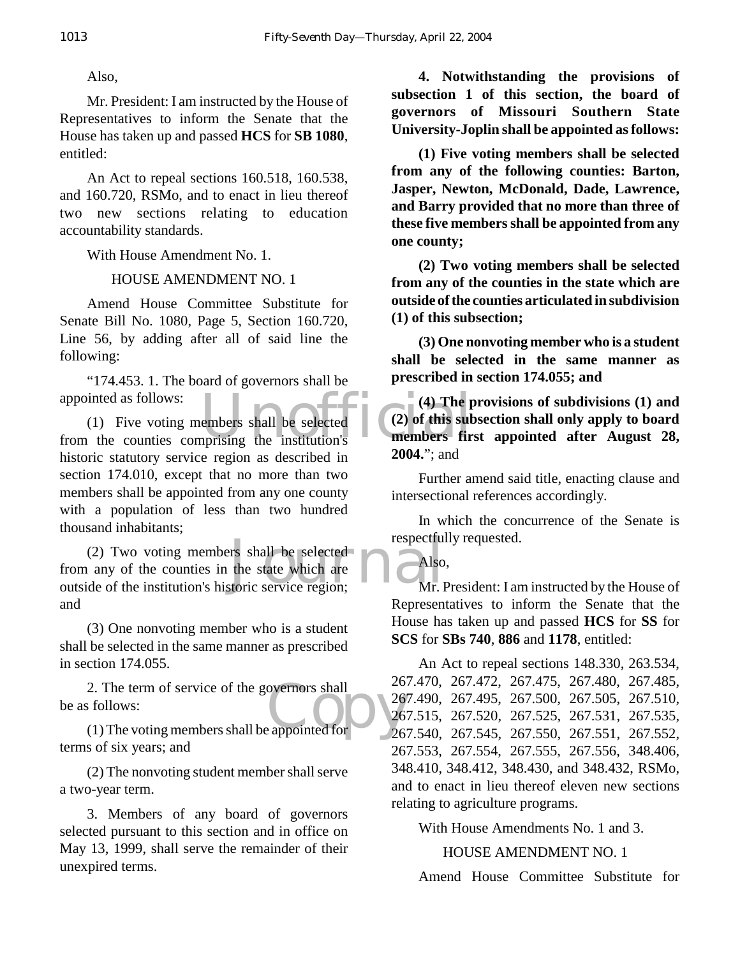Mr. President: I am instructed by the House of Representatives to inform the Senate that the House has taken up and passed **HCS** for **SB 1080**, entitled:

An Act to repeal sections 160.518, 160.538, and 160.720, RSMo, and to enact in lieu thereof two new sections relating to education accountability standards.

With House Amendment No. 1.

# HOUSE AMENDMENT NO. 1

Amend House Committee Substitute for Senate Bill No. 1080, Page 5, Section 160.720, Line 56, by adding after all of said line the following:

"174.453. 1. The board of governors shall be appointed as follows:

appointed as follows:<br>
(1) Five voting members shall be selected<br>
from the counties comprising the institution's<br> **EXECUTE:**<br> **EXECUTE:**<br> **EXECUTE:**<br> **EXECUTE:**<br> **EXECUTE:** (1) Five voting members shall be selected historic statutory service region as described in section 174.010, except that no more than two members shall be appointed from any one county with a population of less than two hundred thousand inhabitants;

respectful<br>the state which are<br>storic service region; Mr. I (2) Two voting members shall be selected from any of the counties in the state which are outside of the institution's historic service region; and

(3) One nonvoting member who is a student shall be selected in the same manner as prescribed in section 174.055.

2. The term of service of the governors shall<br>  $\frac{26}{26}$ <br>
(1) The voting members shall be appointed for  $\frac{26}{26}$ be as follows:

(1) The voting members shall be appointed for terms of six years; and

(2) The nonvoting student member shall serve a two-year term.

3. Members of any board of governors selected pursuant to this section and in office on May 13, 1999, shall serve the remainder of their unexpired terms.

**4. Notwithstanding the provisions of subsection 1 of this section, the board of governors of Missouri Southern State University-Joplin shall be appointed as follows:**

**(1) Five voting members shall be selected from any of the following counties: Barton, Jasper, Newton, McDonald, Dade, Lawrence, and Barry provided that no more than three of these five members shall be appointed from any one county;**

**(2) Two voting members shall be selected from any of the counties in the state which are outside of the counties articulated in subdivision (1) of this subsection;**

**(3) One nonvoting member who is a student shall be selected in the same manner as prescribed in section 174.055; and**

**(4) The provisions of subdivisions (1) and (2) of this subsection shall only apply to board members first appointed after August 28, 2004.**"; and

Further amend said title, enacting clause and intersectional references accordingly.

In which the concurrence of the Senate is respectfully requested.

Also,

Mr. President: I am instructed by the House of Representatives to inform the Senate that the House has taken up and passed **HCS** for **SS** for **SCS** for **SBs 740**, **886** and **1178**, entitled:

An Act to repeal sections 148.330, 263.534, 267.470, 267.472, 267.475, 267.480, 267.485, 267.490, 267.495, 267.500, 267.505, 267.510, 267.515, 267.520, 267.525, 267.531, 267.535, 267.540, 267.545, 267.550, 267.551, 267.552, 267.553, 267.554, 267.555, 267.556, 348.406, 348.410, 348.412, 348.430, and 348.432, RSMo, and to enact in lieu thereof eleven new sections relating to agriculture programs.

With House Amendments No. 1 and 3.

HOUSE AMENDMENT NO. 1

Amend House Committee Substitute for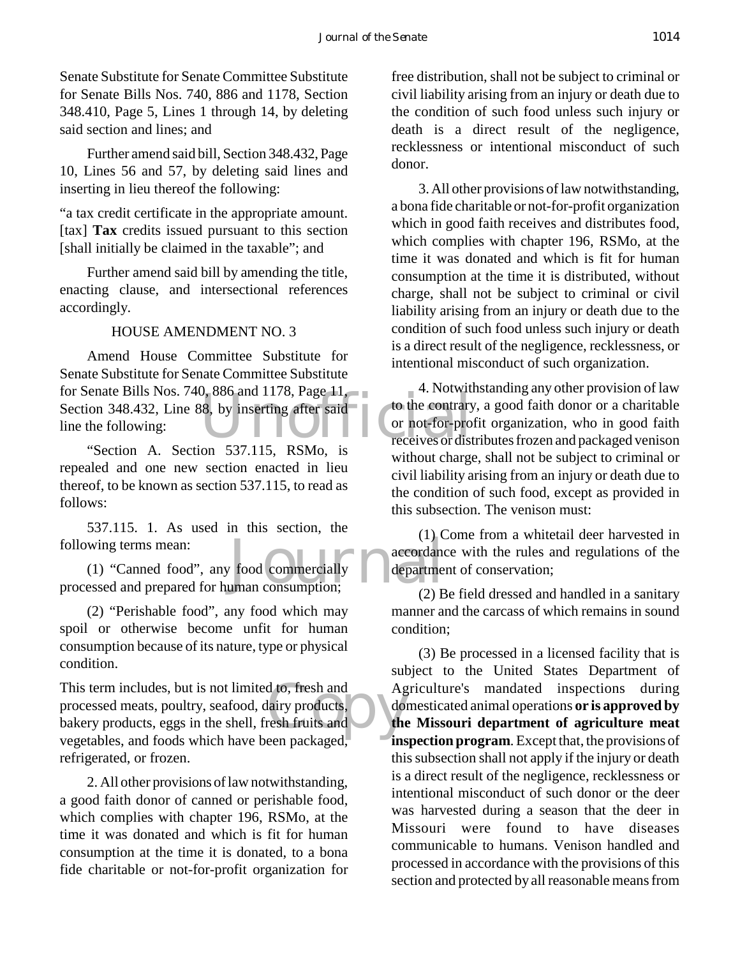Senate Substitute for Senate Committee Substitute for Senate Bills Nos. 740, 886 and 1178, Section 348.410, Page 5, Lines 1 through 14, by deleting said section and lines; and

Further amend said bill, Section 348.432, Page 10, Lines 56 and 57, by deleting said lines and inserting in lieu thereof the following:

"a tax credit certificate in the appropriate amount. [tax] **Tax** credits issued pursuant to this section [shall initially be claimed in the taxable"; and

Further amend said bill by amending the title, enacting clause, and intersectional references accordingly.

## HOUSE AMENDMENT NO. 3

Unofficial Amend House Committee Substitute for Senate Substitute for Senate Committee Substitute for Senate Bills Nos. 740, 886 and 1178, Page 11, Section 348.432, Line 88, by inserting after said line the following:

"Section A. Section 537.115, RSMo, is repealed and one new section enacted in lieu thereof, to be known as section 537.115, to read as follows:

537.115. 1. As used in this section, the following terms mean:

 $\begin{array}{c} \begin{array}{c} \text{(1)} \text{c} \\ \text{food commercially} \end{array} \end{array}$ <br>
In accordance department consumption; (1) "Canned food", any food commercially processed and prepared for human consumption;

(2) "Perishable food", any food which may spoil or otherwise become unfit for human consumption because of its nature, type or physical condition.

d to, fresh and<br>
lairy products,<br>
resh fruits and<br>
an prockaged This term includes, but is not limited to, fresh and processed meats, poultry, seafood, dairy products, bakery products, eggs in the shell, fresh fruits and vegetables, and foods which have been packaged, refrigerated, or frozen.

2. All other provisions of law notwithstanding, a good faith donor of canned or perishable food, which complies with chapter 196, RSMo, at the time it was donated and which is fit for human consumption at the time it is donated, to a bona fide charitable or not-for-profit organization for

free distribution, shall not be subject to criminal or civil liability arising from an injury or death due to the condition of such food unless such injury or death is a direct result of the negligence, recklessness or intentional misconduct of such donor.

3. All other provisions of law notwithstanding, a bona fide charitable or not-for-profit organization which in good faith receives and distributes food, which complies with chapter 196, RSMo, at the time it was donated and which is fit for human consumption at the time it is distributed, without charge, shall not be subject to criminal or civil liability arising from an injury or death due to the condition of such food unless such injury or death is a direct result of the negligence, recklessness, or intentional misconduct of such organization.

4. Notwithstanding any other provision of law to the contrary, a good faith donor or a charitable or not-for-profit organization, who in good faith receives or distributes frozen and packaged venison without charge, shall not be subject to criminal or civil liability arising from an injury or death due to the condition of such food, except as provided in this subsection. The venison must:

(1) Come from a whitetail deer harvested in accordance with the rules and regulations of the department of conservation;

(2) Be field dressed and handled in a sanitary manner and the carcass of which remains in sound condition;

(3) Be processed in a licensed facility that is subject to the United States Department of Agriculture's mandated inspections during domesticated animal operations **or is approved by the Missouri department of agriculture meat inspection program**. Except that, the provisions of this subsection shall not apply if the injury or death is a direct result of the negligence, recklessness or intentional misconduct of such donor or the deer was harvested during a season that the deer in Missouri were found to have diseases communicable to humans. Venison handled and processed in accordance with the provisions of this section and protected by all reasonable means from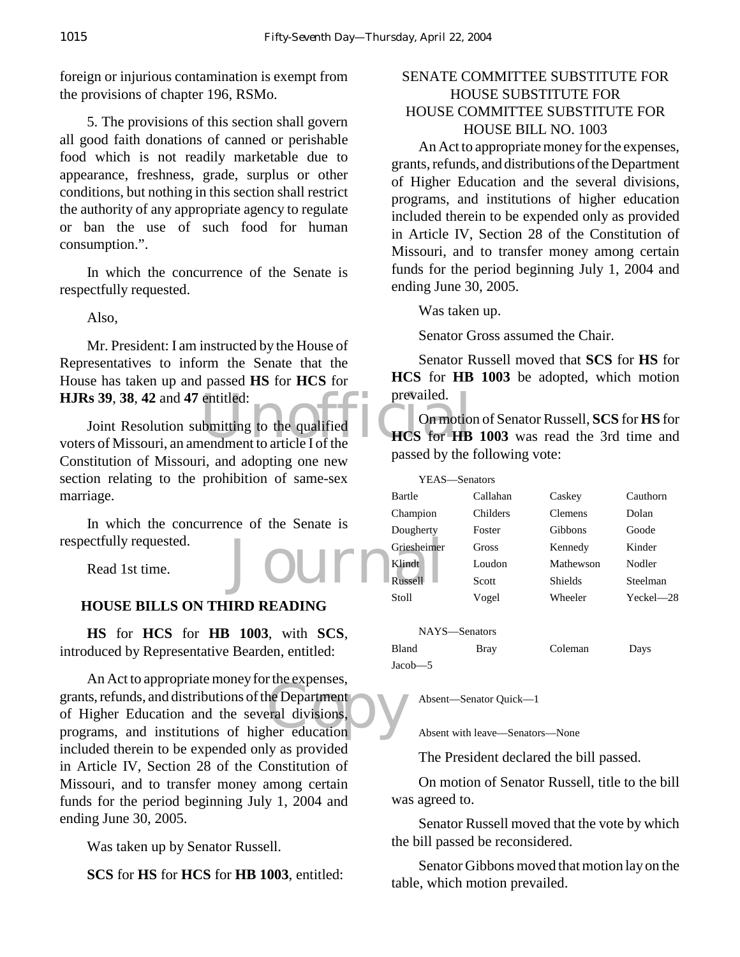foreign or injurious contamination is exempt from the provisions of chapter 196, RSMo.

5. The provisions of this section shall govern all good faith donations of canned or perishable food which is not readily marketable due to appearance, freshness, grade, surplus or other conditions, but nothing in this section shall restrict the authority of any appropriate agency to regulate or ban the use of such food for human consumption.".

In which the concurrence of the Senate is respectfully requested.

Also,

Mr. President: I am instructed by the House of Representatives to inform the Senate that the House has taken up and passed **HS** for **HCS** for **HJRs 39**, **38**, **42** and **47** entitled:

entitled:<br>
bmitting to the qualified<br>
THES for HB<br>
the HCS for HB Joint Resolution submitting to the qualified voters of Missouri, an amendment to article I of the Constitution of Missouri, and adopting one new section relating to the prohibition of same-sex marriage.

Journ In which the concurrence of the Senate is respectfully requested.

Read 1st time.

# **HOUSE BILLS ON THIRD READING**

**HS** for **HCS** for **HB 1003**, with **SCS**, introduced by Representative Bearden, entitled:

the Department<br>
exploration<br>
tral divisions, An Act to appropriate money for the expenses, grants, refunds, and distributions of the Department of Higher Education and the several divisions, programs, and institutions of higher education included therein to be expended only as provided in Article IV, Section 28 of the Constitution of Missouri, and to transfer money among certain funds for the period beginning July 1, 2004 and ending June 30, 2005.

Was taken up by Senator Russell.

**SCS** for **HS** for **HCS** for **HB 1003**, entitled:

# SENATE COMMITTEE SUBSTITUTE FOR HOUSE SUBSTITUTE FOR HOUSE COMMITTEE SUBSTITUTE FOR HOUSE BILL NO. 1003

An Act to appropriate money for the expenses, grants, refunds, and distributions of the Department of Higher Education and the several divisions, programs, and institutions of higher education included therein to be expended only as provided in Article IV, Section 28 of the Constitution of Missouri, and to transfer money among certain funds for the period beginning July 1, 2004 and ending June 30, 2005.

Was taken up.

Senator Gross assumed the Chair.

Senator Russell moved that **SCS** for **HS** for **HCS** for **HB 1003** be adopted, which motion prevailed.  $\top$ 

On motion of Senator Russell, **SCS** for **HS** for **HCS** for **HB 1003** was read the 3rd time and passed by the following vote:

| YEAS—Senators |          |                |           |
|---------------|----------|----------------|-----------|
| Bartle        | Callahan | Caskey         | Cauthorn  |
| Champion      | Childers | <b>Clemens</b> | Dolan     |
| Dougherty     | Foster   | Gibbons        | Goode     |
| Griesheimer   | Gross    | Kennedy        | Kinder    |
| Klindt        | Loudon   | Mathewson      | Nodler    |
| Russell       | Scott    | <b>Shields</b> | Steelman  |
| Stoll         | Vogel    | Wheeler        | Yeckel-28 |
|               |          |                |           |
| NAYS—Senators |          |                |           |

| .       | <u>DOMNUM D</u> |         |      |
|---------|-----------------|---------|------|
| Bland   | <b>Bray</b>     | Coleman | Days |
| Jacob—5 |                 |         |      |

Absent—Senator Quick—1

Absent with leave—Senators—None

The President declared the bill passed.

On motion of Senator Russell, title to the bill was agreed to.

Senator Russell moved that the vote by which the bill passed be reconsidered.

Senator Gibbons moved that motion lay on the table, which motion prevailed.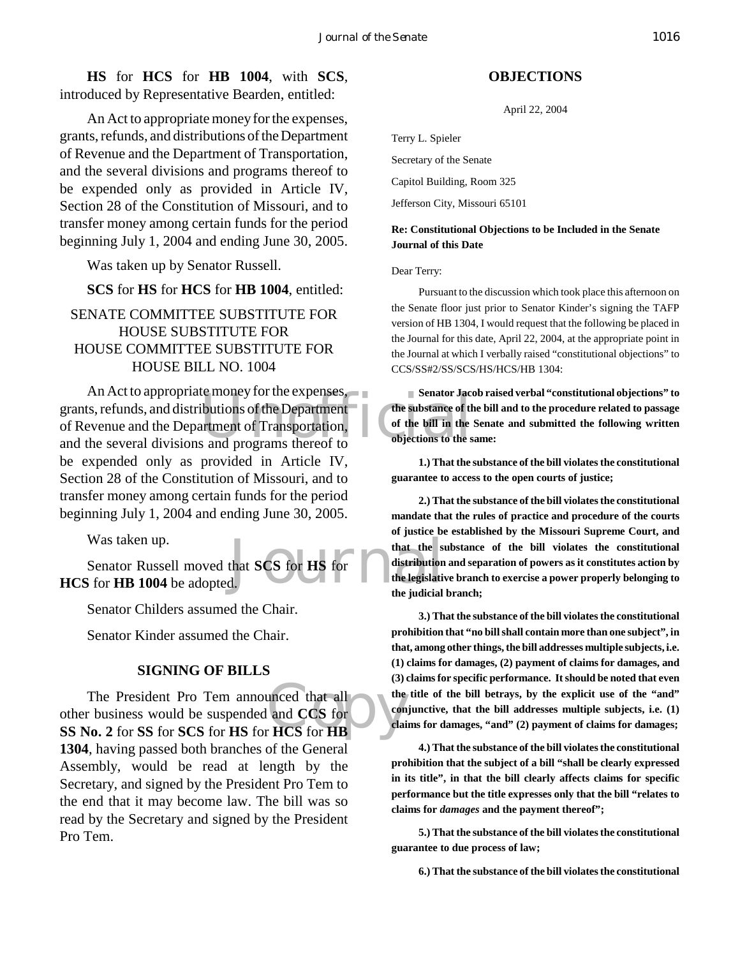**HS** for **HCS** for **HB 1004**, with **SCS**, introduced by Representative Bearden, entitled:

An Act to appropriate money for the expenses, grants, refunds, and distributions of the Department of Revenue and the Department of Transportation, and the several divisions and programs thereof to be expended only as provided in Article IV, Section 28 of the Constitution of Missouri, and to transfer money among certain funds for the period beginning July 1, 2004 and ending June 30, 2005.

Was taken up by Senator Russell.

**SCS** for **HS** for **HCS** for **HB 1004**, entitled:

# SENATE COMMITTEE SUBSTITUTE FOR HOUSE SUBSTITUTE FOR HOUSE COMMITTEE SUBSTITUTE FOR HOUSE BILL NO. 1004

Expenses,<br>
University of the Department<br>
In the substance of the bill in the<br>
Senator Jacques of the substance of the bill in the<br>
Senator Jacques of the bill in the<br>
Senator Jacques of the bill in the<br>
Senator Jacques of An Act to appropriate money for the expenses, grants, refunds, and distributions of the Department of Revenue and the Department of Transportation, and the several divisions and programs thereof to be expended only as provided in Article IV, Section 28 of the Constitution of Missouri, and to transfer money among certain funds for the period beginning July 1, 2004 and ending June 30, 2005.

Was taken up.

that **SCS** for **HS** for **SCS** for **HS** for **SCS** for **HS** for **EXP** distribution the legislative the indicial Senator Russell moved that **SCS** for **HS** for **HCS** for **HB 1004** be adopted.

Senator Childers assumed the Chair.

Senator Kinder assumed the Chair.

#### **SIGNING OF BILLS**

unced that all<br>and CCS for<br>HCS for HB The President Pro Tem announced that all other business would be suspended and **CCS** for **SS No. 2** for **SS** for **SCS** for **HS** for **HCS** for **HB 1304**, having passed both branches of the General Assembly, would be read at length by the Secretary, and signed by the President Pro Tem to the end that it may become law. The bill was so read by the Secretary and signed by the President Pro Tem.

#### **OBJECTIONS**

April 22, 2004

Terry L. Spieler

Secretary of the Senate

Capitol Building, Room 325

Jefferson City, Missouri 65101

#### **Re: Constitutional Objections to be Included in the Senate Journal of this Date**

Dear Terry:

Pursuant to the discussion which took place this afternoon on the Senate floor just prior to Senator Kinder's signing the TAFP version of HB 1304, I would request that the following be placed in the Journal for this date, April 22, 2004, at the appropriate point in the Journal at which I verbally raised "constitutional objections" to CCS/SS#2/SS/SCS/HS/HCS/HB 1304:

**Senator Jacob raised verbal "constitutional objections" to the substance of the bill and to the procedure related to passage of the bill in the Senate and submitted the following written objections to the same:** 

**1.) That the substance of the bill violates the constitutional guarantee to access to the open courts of justice;**

**2.) That the substance of the bill violates the constitutional mandate that the rules of practice and procedure of the courts of justice be established by the Missouri Supreme Court, and that the substance of the bill violates the constitutional distribution and separation of powers as it constitutes action by the legislative branch to exercise a power properly belonging to the judicial branch;**

**3.) That the substance of the bill violates the constitutional prohibition that "no bill shall contain more than one subject", in that, among other things, the bill addresses multiple subjects, i.e. (1) claims for damages, (2) payment of claims for damages, and (3) claims for specific performance. It should be noted that even the title of the bill betrays, by the explicit use of the "and" conjunctive, that the bill addresses multiple subjects, i.e. (1) claims for damages, "and" (2) payment of claims for damages;**

**4.) That the substance of the bill violates the constitutional prohibition that the subject of a bill "shall be clearly expressed in its title", in that the bill clearly affects claims for specific performance but the title expresses only that the bill "relates to claims for** *damages* **and the payment thereof";** 

**5.) That the substance of the bill violates the constitutional guarantee to due process of law;**

**6.) That the substance of the bill violates the constitutional**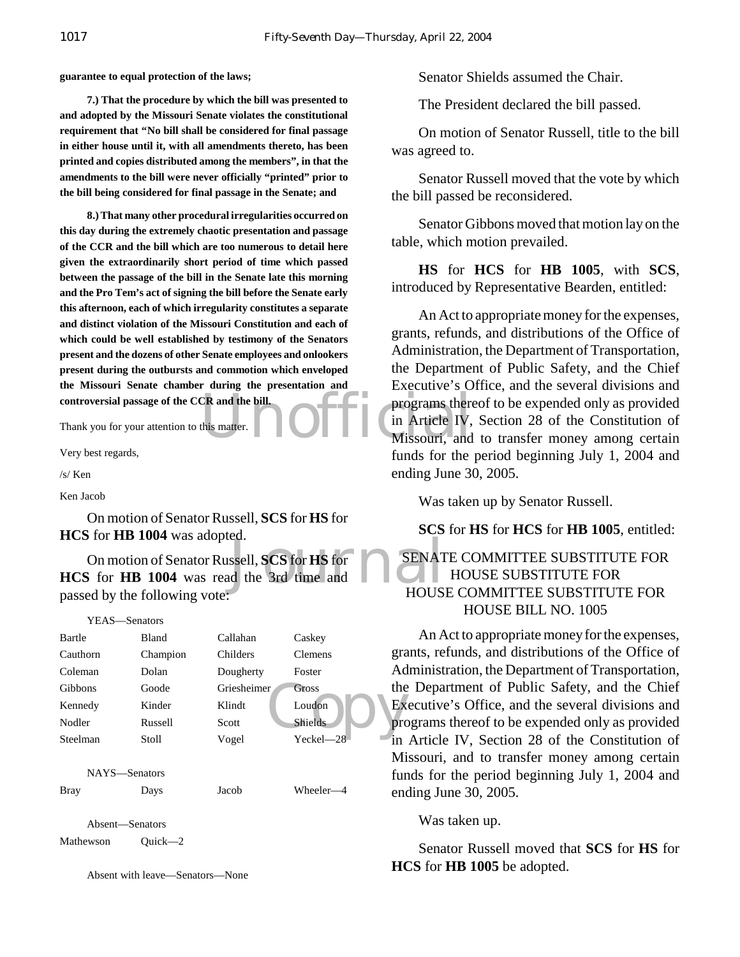**guarantee to equal protection of the laws;**

**7.) That the procedure by which the bill was presented to and adopted by the Missouri Senate violates the constitutional requirement that "No bill shall be considered for final passage in either house until it, with all amendments thereto, has been printed and copies distributed among the members", in that the amendments to the bill were never officially "printed" prior to the bill being considered for final passage in the Senate; and**

**8.) That many other procedural irregularities occurred on this day during the extremely chaotic presentation and passage of the CCR and the bill which are too numerous to detail here given the extraordinarily short period of time which passed between the passage of the bill in the Senate late this morning and the Pro Tem's act of signing the bill before the Senate early this afternoon, each of which irregularity constitutes a separate and distinct violation of the Missouri Constitution and each of which could be well established by testimony of the Senators present and the dozens of other Senate employees and onlookers present during the outbursts and commotion which enveloped the Missouri Senate chamber during the presentation and controversial passage of the CCR and the bill.** 

Thank you for your attention to this matter.

Very best regards,

/s/ Ken

Ken Jacob

On motion of Senator Russell, **SCS** for **HS** for **HCS** for **HB 1004** was adopted.

ssell, SCS for HS for<br>d the 3rd time and<br>HOUS On motion of Senator Russell, **SCS** for **HS** for **HCS** for **HB 1004** was read the 3rd time and passed by the following vote:

YEAS—Senators

| Bartle          | Bland    | Callahan    | Caskey         |     |
|-----------------|----------|-------------|----------------|-----|
| Cauthorn        | Champion | Childers    | <b>Clemens</b> | grz |
| Coleman         | Dolan    | Dougherty   | Foster         | Ad  |
| Gibbons         | Goode    | Griesheimer | <b>Gross</b>   | the |
| Kennedy         | Kinder   | Klindt      | Loudon         | Eх  |
| Nodler          | Russell  | Scott       | Shields        | pro |
| Steelman        | Stoll    | Vogel       | Yeckel-28      | 1n  |
|                 |          |             |                | Mi  |
| NAYS-Senators   |          |             |                | fur |
| <b>Bray</b>     | Days     | Jacob       | Wheeler-4      | en  |
| Absent-Senators |          |             |                |     |
| Mathewson       | Ouick—2  |             |                |     |

Absent with leave—Senators—None

Senator Shields assumed the Chair.

The President declared the bill passed.

On motion of Senator Russell, title to the bill was agreed to.

Senator Russell moved that the vote by which the bill passed be reconsidered.

Senator Gibbons moved that motion lay on the table, which motion prevailed.

**HS** for **HCS** for **HB 1005**, with **SCS**, introduced by Representative Bearden, entitled:

CR and the bill.<br>this matter.<br>Missouri, and An Act to appropriate money for the expenses, grants, refunds, and distributions of the Office of Administration, the Department of Transportation, the Department of Public Safety, and the Chief Executive's Office, and the several divisions and programs thereof to be expended only as provided in Article IV, Section 28 of the Constitution of Missouri, and to transfer money among certain funds for the period beginning July 1, 2004 and ending June 30, 2005.

Was taken up by Senator Russell.

**SCS** for **HS** for **HCS** for **HB 1005**, entitled:

# SENATE COMMITTEE SUBSTITUTE FOR HOUSE SUBSTITUTE FOR HOUSE COMMITTEE SUBSTITUTE FOR HOUSE BILL NO. 1005

An Act to appropriate money for the expenses, grants, refunds, and distributions of the Office of Administration, the Department of Transportation, the Department of Public Safety, and the Chief Executive's Office, and the several divisions and programs thereof to be expended only as provided in Article IV, Section 28 of the Constitution of Missouri, and to transfer money among certain funds for the period beginning July 1, 2004 and ending June 30, 2005.

Was taken up.

Senator Russell moved that **SCS** for **HS** for **HCS** for **HB 1005** be adopted.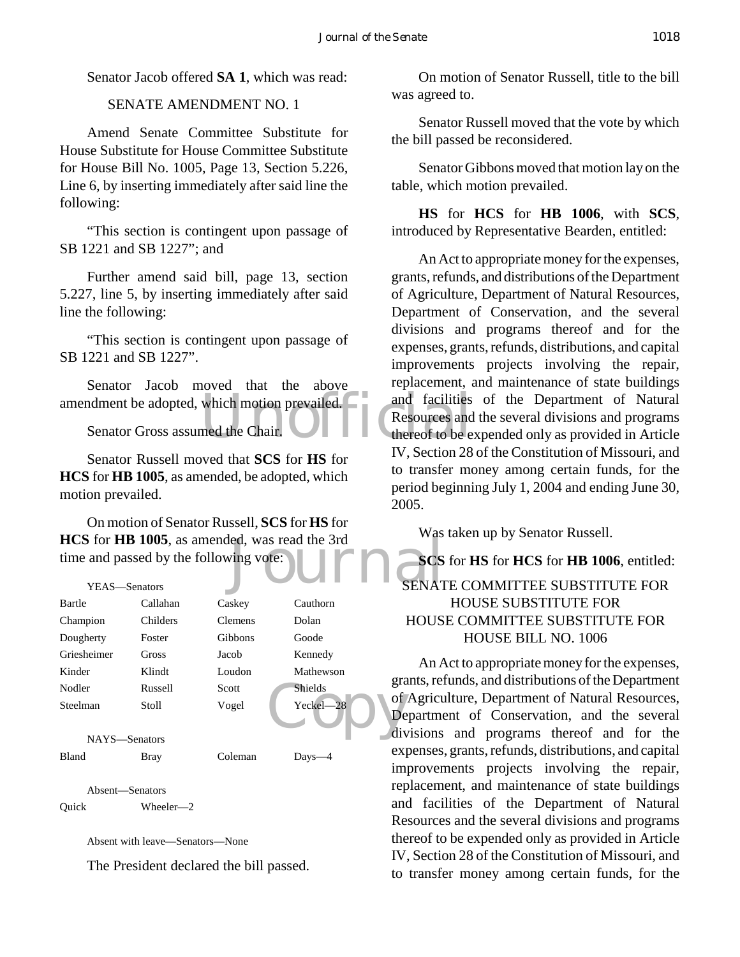Senator Jacob offered **SA 1**, which was read:

#### SENATE AMENDMENT NO. 1

Amend Senate Committee Substitute for House Substitute for House Committee Substitute for House Bill No. 1005, Page 13, Section 5.226, Line 6, by inserting immediately after said line the following:

"This section is contingent upon passage of SB 1221 and SB 1227"; and

Further amend said bill, page 13, section 5.227, line 5, by inserting immediately after said line the following:

"This section is contingent upon passage of SB 1221 and SB 1227".

amendment be adopted, which motion prevailed.<br>
Senator Gross assumed the Chair.<br>
We control to be e Senator Jacob moved that the above

Senator Gross assumed the Chair.

Senator Russell moved that **SCS** for **HS** for **HCS** for **HB 1005**, as amended, be adopted, which motion prevailed.

led, was read the 3rd On motion of Senator Russell, **SCS** for **HS** for **HCS** for **HB 1005**, as amended, was read the 3rd time and passed by the following vote:

| YEAS-Senators |             |                |                         | c |
|---------------|-------------|----------------|-------------------------|---|
| Bartle        | Callahan    | Caskey         | Cauthorn                |   |
| Champion      | Childers    | <b>Clemens</b> | Dolan                   |   |
| Dougherty     | Foster      | Gibbons        | Goode                   |   |
| Griesheimer   | Gross       | Jacob          | Kennedy                 |   |
| Kinder        | Klindt      | Loudon         | Mathewson               |   |
| Nodler        | Russell     | Scott          | gra<br><b>Shields</b>   |   |
| Steelman      | Stoll       | Vogel          | оf<br>Yeckel-28<br>De   |   |
| NAYS-Senators |             |                | div                     |   |
| Bland         | <b>Bray</b> | Coleman        | ex <sub>l</sub><br>Days |   |
|               |             |                |                         |   |

Absent—Senators

Quick Wheeler—2

Absent with leave—Senators—None

The President declared the bill passed.

On motion of Senator Russell, title to the bill was agreed to.

Senator Russell moved that the vote by which the bill passed be reconsidered.

Senator Gibbons moved that motion lay on the table, which motion prevailed.

**HS** for **HCS** for **HB 1006**, with **SCS**, introduced by Representative Bearden, entitled:

An Act to appropriate money for the expenses, grants, refunds, and distributions of the Department of Agriculture, Department of Natural Resources, Department of Conservation, and the several divisions and programs thereof and for the expenses, grants, refunds, distributions, and capital improvements projects involving the repair, replacement, and maintenance of state buildings and facilities of the Department of Natural Resources and the several divisions and programs thereof to be expended only as provided in Article IV, Section 28 of the Constitution of Missouri, and to transfer money among certain funds, for the period beginning July 1, 2004 and ending June 30, 2005.

Was taken up by Senator Russell.

**SCS** for **HS** for **HCS** for **HB 1006**, entitled: SENATE COMMITTEE SUBSTITUTE FOR HOUSE SUBSTITUTE FOR HOUSE COMMITTEE SUBSTITUTE FOR HOUSE BILL NO. 1006

An Act to appropriate money for the expenses, grants, refunds, and distributions of the Department of Agriculture, Department of Natural Resources, Department of Conservation, and the several divisions and programs thereof and for the expenses, grants, refunds, distributions, and capital improvements projects involving the repair, replacement, and maintenance of state buildings and facilities of the Department of Natural Resources and the several divisions and programs thereof to be expended only as provided in Article IV, Section 28 of the Constitution of Missouri, and to transfer money among certain funds, for the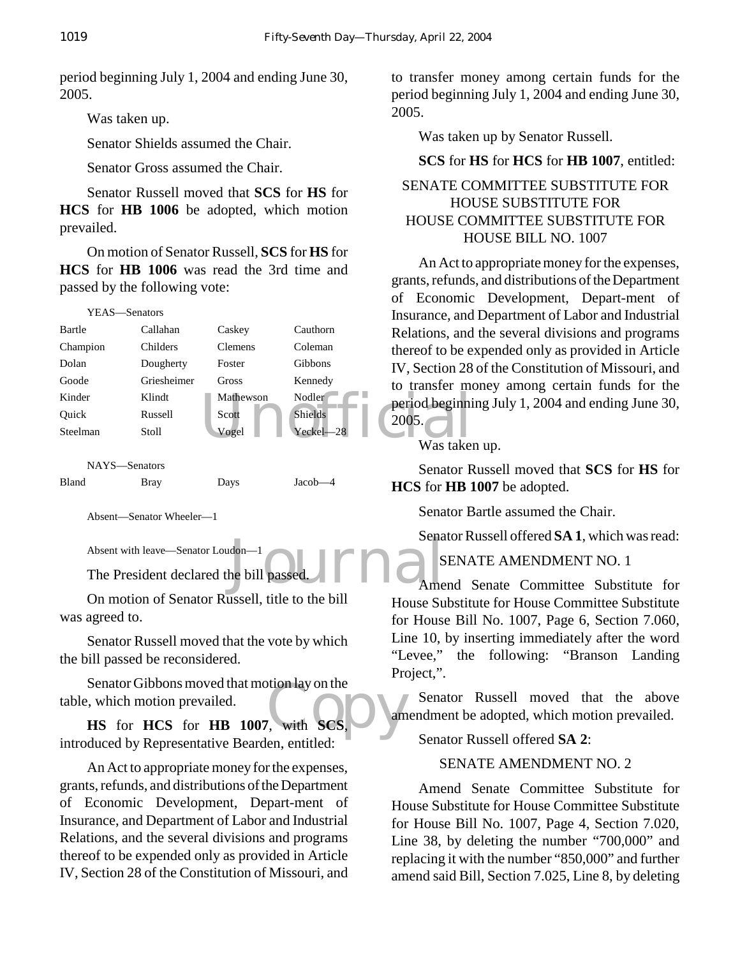period beginning July 1, 2004 and ending June 30, 2005.

Was taken up.

Senator Shields assumed the Chair.

Senator Gross assumed the Chair.

Senator Russell moved that **SCS** for **HS** for **HCS** for **HB 1006** be adopted, which motion prevailed.

On motion of Senator Russell, **SCS** for **HS** for **HCS** for **HB 1006** was read the 3rd time and passed by the following vote:

| YEAS-Senators |             |                |                     | Insurance, and         |
|---------------|-------------|----------------|---------------------|------------------------|
| Bartle        | Callahan    | Caskey         | Cauthorn            | Relations, and         |
| Champion      | Childers    | <b>Clemens</b> | Coleman             | thereof to be e        |
| Dolan         | Dougherty   | Foster         | Gibbons             | IV, Section 28         |
| Goode         | Griesheimer | Gross          | Kennedy             | to transfer mo         |
| Kinder        | Klindt      | Mathewson      | Nodler <sup>®</sup> | period beginni         |
| Ouick         | Russell     | Scott          | <b>Shields</b>      | 2005.                  |
| Steelman      | Stoll       | Vogel          | Yeckel-28           |                        |
|               |             |                |                     | Was taker              |
| NAYS-Senators |             |                |                     | Senator R              |
| Bland         | Brav        | Davs           | Jacob-              | II <i>c</i> e £… IID 1 |

Absent—Senator Wheeler—1

Absent with leave—Senator Loudon—1

 $\sum_{\text{the bill passed}}^{\text{don}-1}$ The President declared the bill passed.

On motion of Senator Russell, title to the bill was agreed to.

Senator Russell moved that the vote by which the bill passed be reconsidered.

otton lay on the<br>
vith SCS. Senator Gibbons moved that motion lay on the table, which motion prevailed.

**HS** for **HCS** for **HB** 1007, with **SC** introduced by Representative Bearden, entitled:

An Act to appropriate money for the expenses, grants, refunds, and distributions of the Department of Economic Development, Depart-ment of Insurance, and Department of Labor and Industrial Relations, and the several divisions and programs thereof to be expended only as provided in Article IV, Section 28 of the Constitution of Missouri, and

to transfer money among certain funds for the period beginning July 1, 2004 and ending June 30, 2005.

Was taken up by Senator Russell.

### **SCS** for **HS** for **HCS** for **HB 1007**, entitled:

# SENATE COMMITTEE SUBSTITUTE FOR HOUSE SUBSTITUTE FOR HOUSE COMMITTEE SUBSTITUTE FOR HOUSE BILL NO. 1007

An Act to appropriate money for the expenses, grants, refunds, and distributions of the Department of Economic Development, Depart-ment of Insurance, and Department of Labor and Industrial Relations, and the several divisions and programs thereof to be expended only as provided in Article IV, Section 28 of the Constitution of Missouri, and to transfer money among certain funds for the period beginning July 1, 2004 and ending June 30, 2005.

Was taken up.

Senator Russell moved that **SCS** for **HS** for **HCS** for **HB 1007** be adopted.

Senator Bartle assumed the Chair.

Senator Russell offered **SA 1**, which was read:

# SENATE AMENDMENT NO. 1

Amend Senate Committee Substitute for House Substitute for House Committee Substitute for House Bill No. 1007, Page 6, Section 7.060, Line 10, by inserting immediately after the word "Levee," the following: "Branson Landing Project,".

Senator Russell moved that the above amendment be adopted, which motion prevailed.

Senator Russell offered **SA 2**:

#### SENATE AMENDMENT NO. 2

Amend Senate Committee Substitute for House Substitute for House Committee Substitute for House Bill No. 1007, Page 4, Section 7.020, Line 38, by deleting the number "700,000" and replacing it with the number "850,000" and further amend said Bill, Section 7.025, Line 8, by deleting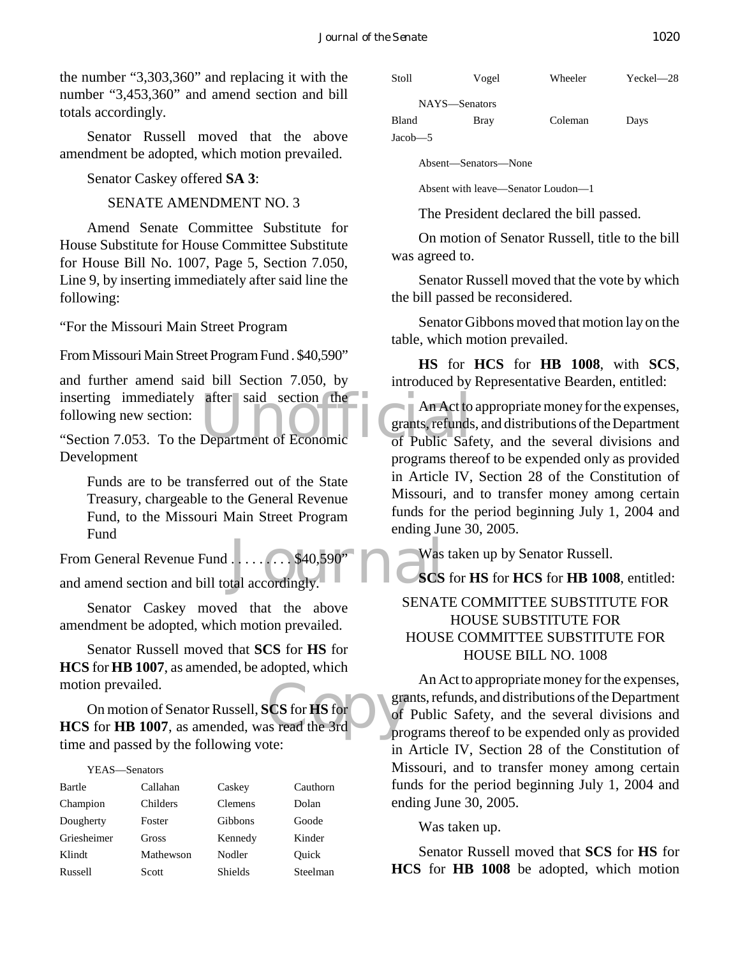the number "3,303,360" and replacing it with the number "3,453,360" and amend section and bill totals accordingly.

Senator Russell moved that the above amendment be adopted, which motion prevailed.

Senator Caskey offered **SA 3**:

SENATE AMENDMENT NO. 3

Amend Senate Committee Substitute for House Substitute for House Committee Substitute for House Bill No. 1007, Page 5, Section 7.050, Line 9, by inserting immediately after said line the following:

"For the Missouri Main Street Program

From Missouri Main Street Program Fund . \$40,590"

inserting immediately after said section the An Act to<br>
following new section:<br>
"Section 7.053. To the Department of Economic of Public Safe and further amend said bill Section 7.050, by inserting immediately after said section the following new section:

Development

Funds are to be transferred out of the State Treasury, chargeable to the General Revenue Fund, to the Missouri Main Street Program Fund

Masket Lines (1997)<br>Masket accordingly. From General Revenue Fund . . . . . . . . \$40,590" and amend section and bill total accordingly.

Senator Caskey moved that the above amendment be adopted, which motion prevailed.

Senator Russell moved that **SCS** for **HS** for **HCS** for **HB 1007**, as amended, be adopted, which motion prevailed.

 $SCS$  for  $HS$  for  $\overline{S}$  of sexes read the 3rd On motion of Senator Russell, **SCS** for **HS** for **HCS** for **HB 1007**, as amended, was read the 3rd time and passed by the following vote:

#### YEAS—Senators

| Bartle      | Callahan  | Caskey         | Cauthorn |
|-------------|-----------|----------------|----------|
| Champion    | Childers  | Clemens        | Dolan    |
| Dougherty   | Foster    | <b>Gibbons</b> | Goode    |
| Griesheimer | Gross     | Kennedy        | Kinder   |
| Klindt      | Mathewson | Nodler         | Quick    |
| Russell     | Scott     | <b>Shields</b> | Steelman |



Jacob—5

Absent—Senators—None

Absent with leave—Senator Loudon—1

The President declared the bill passed.

On motion of Senator Russell, title to the bill was agreed to.

Senator Russell moved that the vote by which the bill passed be reconsidered.

Senator Gibbons moved that motion lay on the table, which motion prevailed.

**HS** for **HCS** for **HB 1008**, with **SCS**, introduced by Representative Bearden, entitled:

An Act to appropriate money for the expenses, grants, refunds, and distributions of the Department of Public Safety, and the several divisions and programs thereof to be expended only as provided in Article IV, Section 28 of the Constitution of Missouri, and to transfer money among certain funds for the period beginning July 1, 2004 and ending June 30, 2005.

Was taken up by Senator Russell.

**SCS** for **HS** for **HCS** for **HB 1008**, entitled:

# SENATE COMMITTEE SUBSTITUTE FOR HOUSE SUBSTITUTE FOR HOUSE COMMITTEE SUBSTITUTE FOR HOUSE BILL NO. 1008

An Act to appropriate money for the expenses, grants, refunds, and distributions of the Department of Public Safety, and the several divisions and programs thereof to be expended only as provided in Article IV, Section 28 of the Constitution of Missouri, and to transfer money among certain funds for the period beginning July 1, 2004 and ending June 30, 2005.

Was taken up.

Senator Russell moved that **SCS** for **HS** for **HCS** for **HB 1008** be adopted, which motion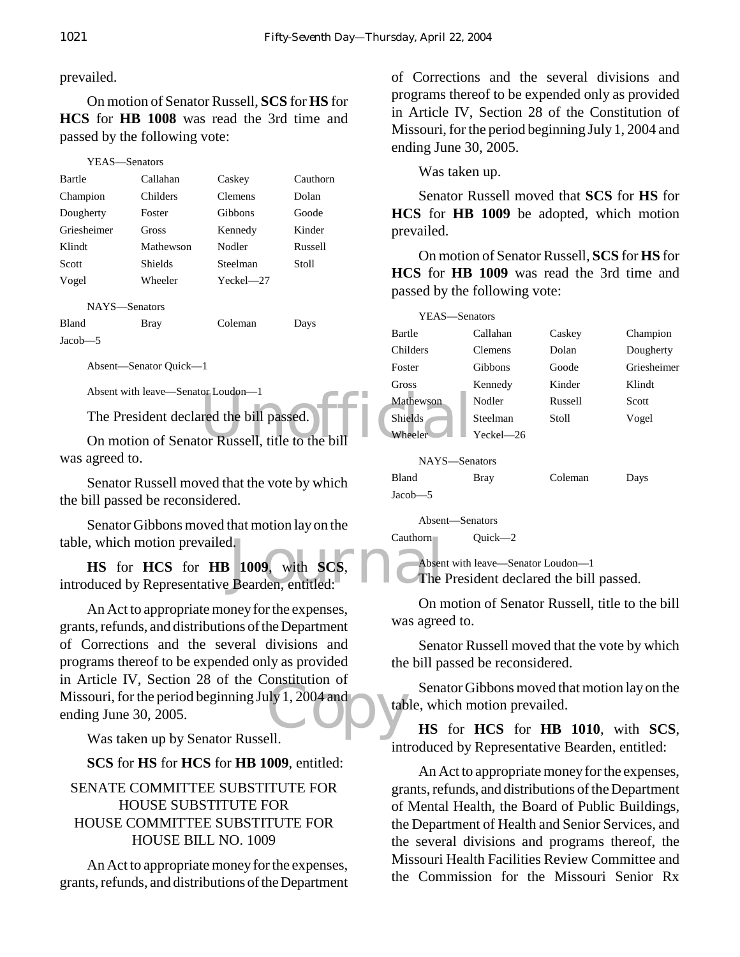# prevailed.

On motion of Senator Russell, **SCS** for **HS** for **HCS** for **HB 1008** was read the 3rd time and passed by the following vote:

| YEAS—Senators |           |               |          |
|---------------|-----------|---------------|----------|
| Bartle        | Callahan  | Caskey        | Cauthorn |
| Champion      | Childers  | Clemens       | Dolan    |
| Dougherty     | Foster    | Gibbons       | Goode    |
| Griesheimer   | Gross     | Kennedy       | Kinder   |
| Klindt        | Mathewson | Nodler        | Russell  |
| Scott         | Shields   | Steelman      | Stoll    |
| Vogel         | Wheeler   | $Yeckel - 27$ |          |
| NAYS-Senators |           |               |          |
| <b>Bland</b>  | Bray      | Coleman       | Days     |
| Jacob—5       |           |               |          |

Absent—Senator Quick—1

Absent with leave—Senator Loudon—1

The President declared the bill passed.

was agreed to.

Senator Russell moved that the vote by which the bill passed be reconsidered.

Senator Gibbons moved that motion lay on the table, which motion prevailed.

1.<br>
1009, with SCS, and Absen<br>
Bearden, entitled: The **HS** for **HCS** for **HB 1009**, with **SCS**, introduced by Representative Bearden, entitled:

 $\frac{1}{2}$  (1, 2004 and  $\frac{1}{2}$  table An Act to appropriate money for the expenses, grants, refunds, and distributions of the Department of Corrections and the several divisions and programs thereof to be expended only as provided in Article IV, Section 28 of the Constitution of Missouri, for the period beginning July 1, 2004 and ending June 30, 2005.

Was taken up by Senator Russell.

**SCS** for **HS** for **HCS** for **HB 1009**, entitled:

SENATE COMMITTEE SUBSTITUTE FOR HOUSE SUBSTITUTE FOR HOUSE COMMITTEE SUBSTITUTE FOR HOUSE BILL NO. 1009

An Act to appropriate money for the expenses, grants, refunds, and distributions of the Department of Corrections and the several divisions and programs thereof to be expended only as provided in Article IV, Section 28 of the Constitution of Missouri, for the period beginning July 1, 2004 and ending June 30, 2005.

Was taken up.

Senator Russell moved that **SCS** for **HS** for **HCS** for **HB 1009** be adopted, which motion prevailed.

On motion of Senator Russell, **SCS** for **HS** for **HCS** for **HB 1009** was read the 3rd time and passed by the following vote:



Cauthorn Quick—2

Absent with leave—Senator Loudon—1 The President declared the bill passed.

On motion of Senator Russell, title to the bill was agreed to.

Senator Russell moved that the vote by which the bill passed be reconsidered.

Senator Gibbons moved that motion lay on the table, which motion prevailed.

**HS** for **HCS** for **HB 1010**, with **SCS**, introduced by Representative Bearden, entitled:

An Act to appropriate money for the expenses, grants, refunds, and distributions of the Department of Mental Health, the Board of Public Buildings, the Department of Health and Senior Services, and the several divisions and programs thereof, the Missouri Health Facilities Review Committee and the Commission for the Missouri Senior Rx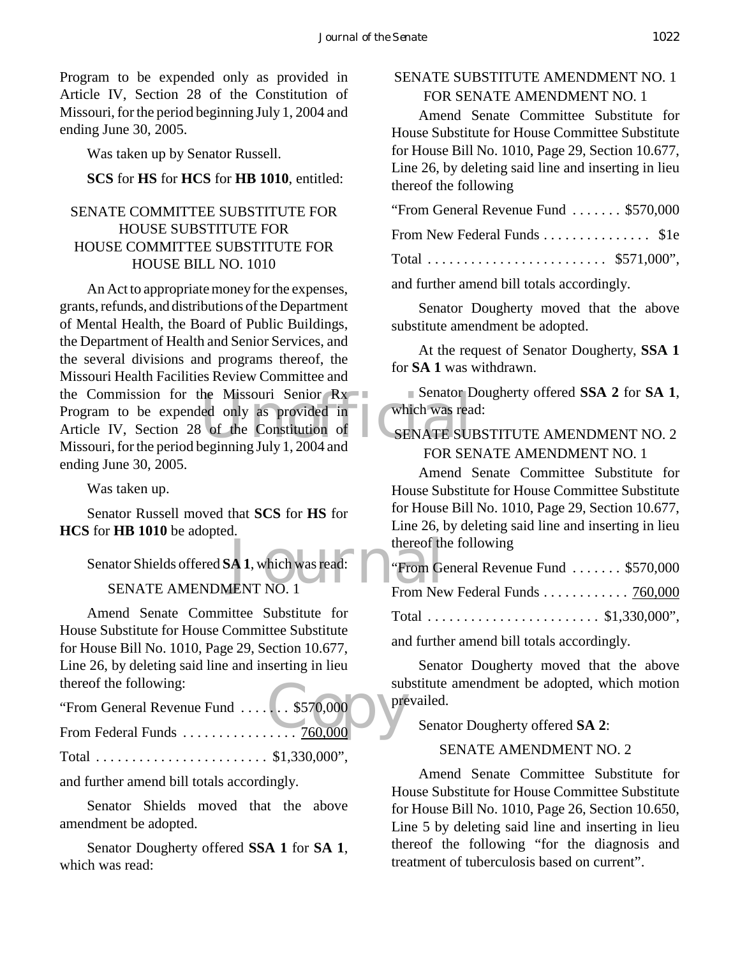Program to be expended only as provided in Article IV, Section 28 of the Constitution of Missouri, for the period beginning July 1, 2004 and ending June 30, 2005.

Was taken up by Senator Russell.

#### **SCS** for **HS** for **HCS** for **HB 1010**, entitled:

# SENATE COMMITTEE SUBSTITUTE FOR HOUSE SUBSTITUTE FOR HOUSE COMMITTEE SUBSTITUTE FOR HOUSE BILL NO. 1010

he Missouri Senior Rx<br>
led only as provided in which was rea An Act to appropriate money for the expenses, grants, refunds, and distributions of the Department of Mental Health, the Board of Public Buildings, the Department of Health and Senior Services, and the several divisions and programs thereof, the Missouri Health Facilities Review Committee and the Commission for the Missouri Senior Rx Program to be expended only as provided in Article IV, Section 28 of the Constitution of Missouri, for the period beginning July 1, 2004 and ending June 30, 2005.

Was taken up.

Senator Russell moved that **SCS** for **HS** for **HCS** for **HB 1010** be adopted.

thereof the<br> **A 1**, which was read:<br> **IENT NO.** 1 Senator Shields offered **SA 1**, which was read: SENATE AMENDMENT NO. 1

Amend Senate Committee Substitute for House Substitute for House Committee Substitute for House Bill No. 1010, Page 29, Section 10.677, Line 26, by deleting said line and inserting in lieu thereof the following:

| thereof the following:                | sut |
|---------------------------------------|-----|
| "From General Revenue Fund  \$570,000 |     |
|                                       |     |

Total . . . . . . . . . . . . . . . . . . . . . . . . \$1,330,000",

and further amend bill totals accordingly.

Senator Shields moved that the above amendment be adopted.

Senator Dougherty offered **SSA 1** for **SA 1**, which was read:

# SENATE SUBSTITUTE AMENDMENT NO. 1 FOR SENATE AMENDMENT NO. 1

Amend Senate Committee Substitute for House Substitute for House Committee Substitute for House Bill No. 1010, Page 29, Section 10.677, Line 26, by deleting said line and inserting in lieu thereof the following

| "From General Revenue Fund  \$570,000 |  |
|---------------------------------------|--|
| From New Federal Funds  \$1e          |  |
| Total  \$571,000",                    |  |

and further amend bill totals accordingly.

Senator Dougherty moved that the above substitute amendment be adopted.

At the request of Senator Dougherty, **SSA 1** for **SA 1** was withdrawn.

Senator Dougherty offered **SSA 2** for **SA 1**, which was read:

# SENATE SUBSTITUTE AMENDMENT NO. 2 FOR SENATE AMENDMENT NO. 1

Amend Senate Committee Substitute for House Substitute for House Committee Substitute for House Bill No. 1010, Page 29, Section 10.677, Line 26, by deleting said line and inserting in lieu thereof the following

| "From General Revenue Fund  \$570,000<br><b>ULL</b>          |  |
|--------------------------------------------------------------|--|
| From New Federal Funds $\ldots \ldots \ldots \ldots$ 760,000 |  |
| Total \$1,330,000",                                          |  |

and further amend bill totals accordingly.

Senator Dougherty moved that the above substitute amendment be adopted, which motion prevailed.

Senator Dougherty offered **SA 2**:

#### SENATE AMENDMENT NO. 2

Amend Senate Committee Substitute for House Substitute for House Committee Substitute for House Bill No. 1010, Page 26, Section 10.650, Line 5 by deleting said line and inserting in lieu thereof the following "for the diagnosis and treatment of tuberculosis based on current".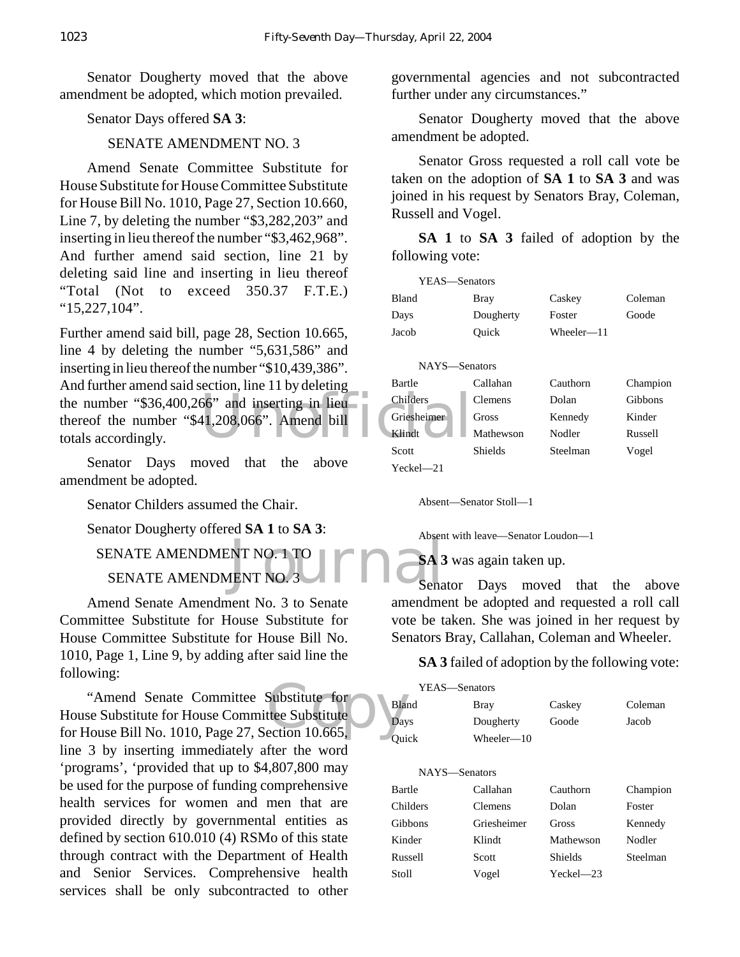Senator Dougherty moved that the above amendment be adopted, which motion prevailed.

Senator Days offered **SA 3**:

#### SENATE AMENDMENT NO. 3

Amend Senate Committee Substitute for House Substitute for House Committee Substitute for House Bill No. 1010, Page 27, Section 10.660, Line 7, by deleting the number "\$3,282,203" and inserting in lieu thereof the number "\$3,462,968". And further amend said section, line 21 by deleting said line and inserting in lieu thereof "Total (Not to exceed 350.37 F.T.E.) "15,227,104".

the number "\$36,400,266" and inserting in lieu<br>
thereof the number "\$41,208,066". Amend bill<br>
totals accordingly. Further amend said bill, page 28, Section 10.665, line 4 by deleting the number "5,631,586" and inserting in lieu thereof the number "\$10,439,386". And further amend said section, line 11 by deleting thereof the number "\$41,208,066". Amend bill totals accordingly.

Senator Days moved that the above amendment be adopted.

Senator Childers assumed the Chair.

Senator Dougherty offered **SA 1** to **SA 3**:

INT NO.-1 TO  $\prod_{\text{Sena}}$  and  $\prod_{\text{Sena}}$ SENATE AMENDMENT NO. 1 TO

SENATE AMENDMENT NO. 3

Amend Senate Amendment No. 3 to Senate Committee Substitute for House Substitute for House Committee Substitute for House Bill No. 1010, Page 1, Line 9, by adding after said line the following:

"Amend Senate Committee Substitute for<br>
House Substitute for House Committee Substitute<br>
for House Bill No. 1010, Page 27, Section 10.665, "Amend Senate Committee Substitute for House Substitute for House Committee Substitute line 3 by inserting immediately after the word 'programs', 'provided that up to \$4,807,800 may be used for the purpose of funding comprehensive health services for women and men that are provided directly by governmental entities as defined by section 610.010 (4) RSMo of this state through contract with the Department of Health and Senior Services. Comprehensive health services shall be only subcontracted to other

governmental agencies and not subcontracted further under any circumstances."

Senator Dougherty moved that the above amendment be adopted.

Senator Gross requested a roll call vote be taken on the adoption of **SA 1** to **SA 3** and was joined in his request by Senators Bray, Coleman, Russell and Vogel.

**SA 1** to **SA 3** failed of adoption by the following vote:

| YEAS—Senators |           |            |          |
|---------------|-----------|------------|----------|
| <b>Bland</b>  | Bray      | Caskey     | Coleman  |
| Days          | Dougherty | Foster     | Goode    |
| Jacob         | Ouick     | Wheeler—11 |          |
|               |           |            |          |
| NAYS—Senators |           |            |          |
| Bartle        | Callahan  | Cauthorn   | Champion |
| Childers      | Clemens   | Dolan      | Gibbons  |
| Griesheimer   | Gross     | Kennedy    | Kinder   |
| Klindt        | Mathewson | Nodler     | Russell  |
| Scott         | Shields   | Steelman   | Vogel    |
| $Yechel = 21$ |           |            |          |

Absent—Senator Stoll—1

Absent with leave—Senator Loudon—1

**SA 3** was again taken up.

Senator Days moved that the above amendment be adopted and requested a roll call vote be taken. She was joined in her request by Senators Bray, Callahan, Coleman and Wheeler.

**SA 3** failed of adoption by the following vote:

| YEAS—Senators |                |               |          |
|---------------|----------------|---------------|----------|
| Bland         | Bray           | Caskey        | Coleman  |
| Days          | Dougherty      | Goode         | Jacob    |
| Ouick         | Wheeler—10     |               |          |
|               |                |               |          |
| NAYS—Senators |                |               |          |
| Bartle        | Callahan       | Cauthorn      | Champion |
| Childers      | <b>Clemens</b> | Dolan         | Foster   |
| Gibbons       | Griesheimer    | Gross         | Kennedy  |
| Kinder        | Klindt         | Mathewson     | Nodler   |
| Russell       | Scott          | Shields       | Steelman |
| Stoll         | Vogel          | $Yeckel - 23$ |          |
|               |                |               |          |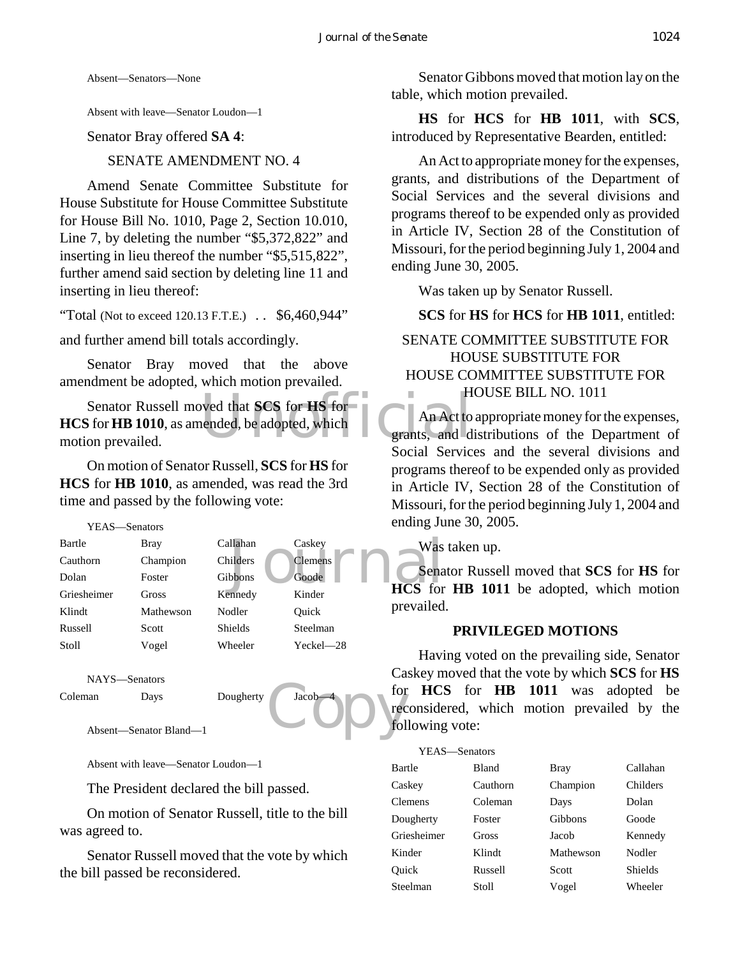Absent—Senators—None

Absent with leave—Senator Loudon—1

Senator Bray offered **SA 4**:

SENATE AMENDMENT NO. 4

Amend Senate Committee Substitute for House Substitute for House Committee Substitute for House Bill No. 1010, Page 2, Section 10.010, Line 7, by deleting the number "\$5,372,822" and inserting in lieu thereof the number "\$5,515,822", further amend said section by deleting line 11 and inserting in lieu thereof:

"Total (Not to exceed 120.13 F.T.E.)  $\therefore$  \$6,460,944"

and further amend bill totals accordingly.

Senator Bray moved that the above amendment be adopted, which motion prevailed.

Wed that SCS for HS for THS and H An Act to ended, be adopted, which Senator Russell moved that **SCS** for **HS** for **HCS** for **HB 1010**, as amended, be adopted, which motion prevailed.

On motion of Senator Russell, **SCS** for **HS** for **HCS** for **HB 1010**, as amended, was read the 3rd time and passed by the following vote:

| Bartle      | <b>Bray</b> | Callahan       | Caskey         | Was            |
|-------------|-------------|----------------|----------------|----------------|
| Cauthorn    | Champion    | Childers       | <b>Clemens</b> |                |
| Dolan       | Foster      | Gibbons        | Goode          | Sena           |
| Griesheimer | Gross       | Kennedy        | Kinder         | <b>HCS</b> for |
| Klindt      | Mathewson   | Nodler         | Ouick          | prevailed      |
| Russell     | Scott       | <b>Shields</b> | Steelman       |                |
| Stoll       | Vogel       | Wheeler        | Yeckel-28      | Havi           |

```
NAYS—Senators
```
Coleman Days Dougherty Jacob

Absent—Senator Bland—1

Absent with leave—Senator Loudon—1

The President declared the bill passed.

On motion of Senator Russell, title to the bill was agreed to.

Senator Russell moved that the vote by which the bill passed be reconsidered.

Senator Gibbons moved that motion lay on the table, which motion prevailed.

**HS** for **HCS** for **HB 1011**, with **SCS**, introduced by Representative Bearden, entitled:

An Act to appropriate money for the expenses, grants, and distributions of the Department of Social Services and the several divisions and programs thereof to be expended only as provided in Article IV, Section 28 of the Constitution of Missouri, for the period beginning July 1, 2004 and ending June 30, 2005.

Was taken up by Senator Russell.

# **SCS** for **HS** for **HCS** for **HB 1011**, entitled:

# SENATE COMMITTEE SUBSTITUTE FOR HOUSE SUBSTITUTE FOR HOUSE COMMITTEE SUBSTITUTE FOR HOUSE BILL NO. 1011

An Act to appropriate money for the expenses, grants, and distributions of the Department of Social Services and the several divisions and programs thereof to be expended only as provided in Article IV, Section 28 of the Constitution of Missouri, for the period beginning July 1, 2004 and ending June 30, 2005.

Was taken up.

Senator Russell moved that **SCS** for **HS** for **HCS** for **HB 1011** be adopted, which motion prevailed.

#### **PRIVILEGED MOTIONS**

Sacob de la contra de la contra de la contra de la contra de la contra de la contra de la contra de la contra de la contra de la contra de la contra de la contra de la contra de la contra de la contra de la contra de la co Having voted on the prevailing side, Senator Caskey moved that the vote by which **SCS** for **HS** for **HCS** for **HB 1011** was adopted be reconsidered, which motion prevailed by the following vote:

#### YEAS—Senators

| Bartle      | Bland    | <b>Bray</b> | Callahan |
|-------------|----------|-------------|----------|
| Caskey      | Cauthorn | Champion    | Childers |
| Clemens     | Coleman  | Days        | Dolan    |
| Dougherty   | Foster   | Gibbons     | Goode    |
| Griesheimer | Gross    | Jacob       | Kennedy  |
| Kinder      | Klindt   | Mathewson   | Nodler   |
| Ouick       | Russell  | Scott       | Shields  |
| Steelman    | Stoll    | Vogel       | Wheeler  |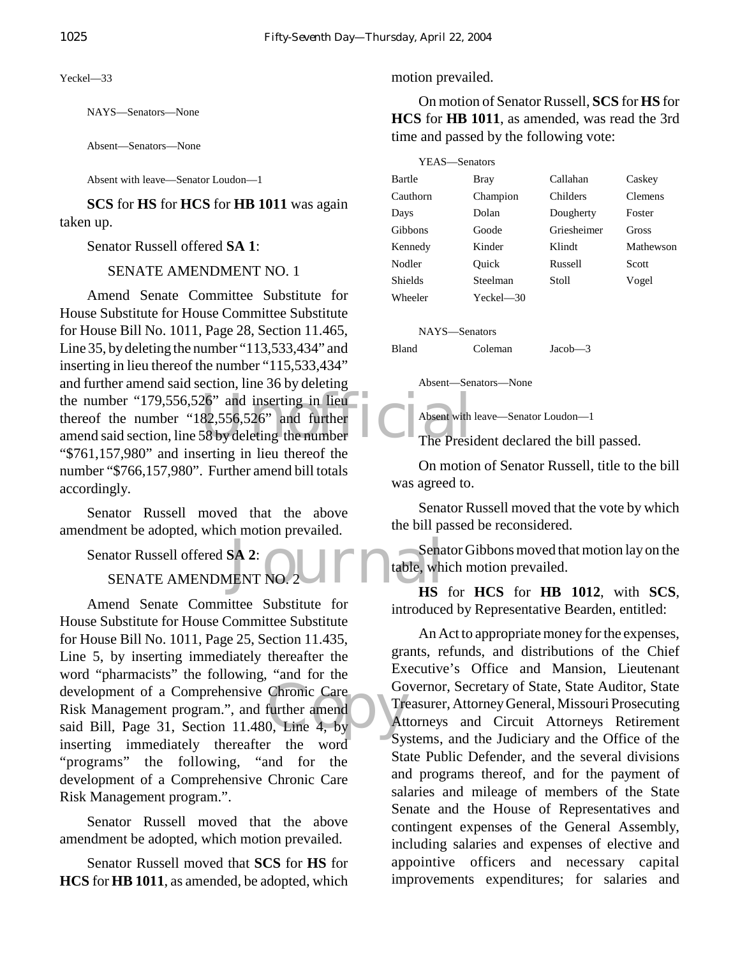Yeckel—33

NAYS—Senators—None

Absent—Senators—None

Absent with leave—Senator Loudon—1

**SCS** for **HS** for **HCS** for **HB 1011** was again taken up.

Senator Russell offered **SA 1**:

SENATE AMENDMENT NO. 1

the number "179,556,526" and inserting in lieu<br>
thereof the number "182,556,526" and further<br>
amend said section, line 58 by deleting the number<br>
The Presi Amend Senate Committee Substitute for House Substitute for House Committee Substitute for House Bill No. 1011, Page 28, Section 11.465, Line 35, by deleting the number "113,533,434" and inserting in lieu thereof the number "115,533,434" and further amend said section, line 36 by deleting the number "179,556,526" and inserting in lieu thereof the number "182,556,526" and further "\$761,157,980" and inserting in lieu thereof the number "\$766,157,980". Further amend bill totals accordingly.

Senator Russell moved that the above amendment be adopted, which motion prevailed.

Senator Russell offered **SA 2**:

SENATE AMENDMENT NO. 2

development of a Comprehensive Chronic Care<br>
Risk Management program.", and further amend<br>
said Bill, Page 31, Section 11.480, Line 4, by Amend Senate Committee Substitute for House Substitute for House Committee Substitute for House Bill No. 1011, Page 25, Section 11.435, Line 5, by inserting immediately thereafter the word "pharmacists" the following, "and for the development of a Comprehensive Chronic Care Risk Management program.", and further amend inserting immediately thereafter the word "programs" the following, "and for the development of a Comprehensive Chronic Care Risk Management program.".

Senator Russell moved that the above amendment be adopted, which motion prevailed.

Senator Russell moved that **SCS** for **HS** for **HCS** for **HB 1011**, as amended, be adopted, which

#### motion prevailed.

On motion of Senator Russell, **SCS** for **HS** for **HCS** for **HB 1011**, as amended, was read the 3rd time and passed by the following vote:

| YEAS-Senators |               |             |           |
|---------------|---------------|-------------|-----------|
| Bartle        | <b>Bray</b>   | Callahan    | Caskey    |
| Cauthorn      | Champion      | Childers    | Clemens   |
| Days          | Dolan         | Dougherty   | Foster    |
| Gibbons       | Goode         | Griesheimer | Gross     |
| Kennedy       | Kinder        | Klindt      | Mathewson |
| Nodler        | Ouick         | Russell     | Scott     |
| Shields       | Steelman      | Stoll       | Vogel     |
| Wheeler       | $Yeckel - 30$ |             |           |
|               |               |             |           |

NAYS—Senators

Bland Coleman Jacob—3

Absent—Senators—None

Absent with leave—Senator Loudon—1

The President declared the bill passed.

On motion of Senator Russell, title to the bill was agreed to.

Senator Russell moved that the vote by which the bill passed be reconsidered.

SA 2:<br>JENT NO. 2 Senator Gibbons moved that motion lay on the table, which motion prevailed.

**HS** for **HCS** for **HB 1012**, with **SCS**, introduced by Representative Bearden, entitled:

An Act to appropriate money for the expenses, grants, refunds, and distributions of the Chief Executive's Office and Mansion, Lieutenant Governor, Secretary of State, State Auditor, State Treasurer, Attorney General, Missouri Prosecuting Attorneys and Circuit Attorneys Retirement Systems, and the Judiciary and the Office of the State Public Defender, and the several divisions and programs thereof, and for the payment of salaries and mileage of members of the State Senate and the House of Representatives and contingent expenses of the General Assembly, including salaries and expenses of elective and appointive officers and necessary capital improvements expenditures; for salaries and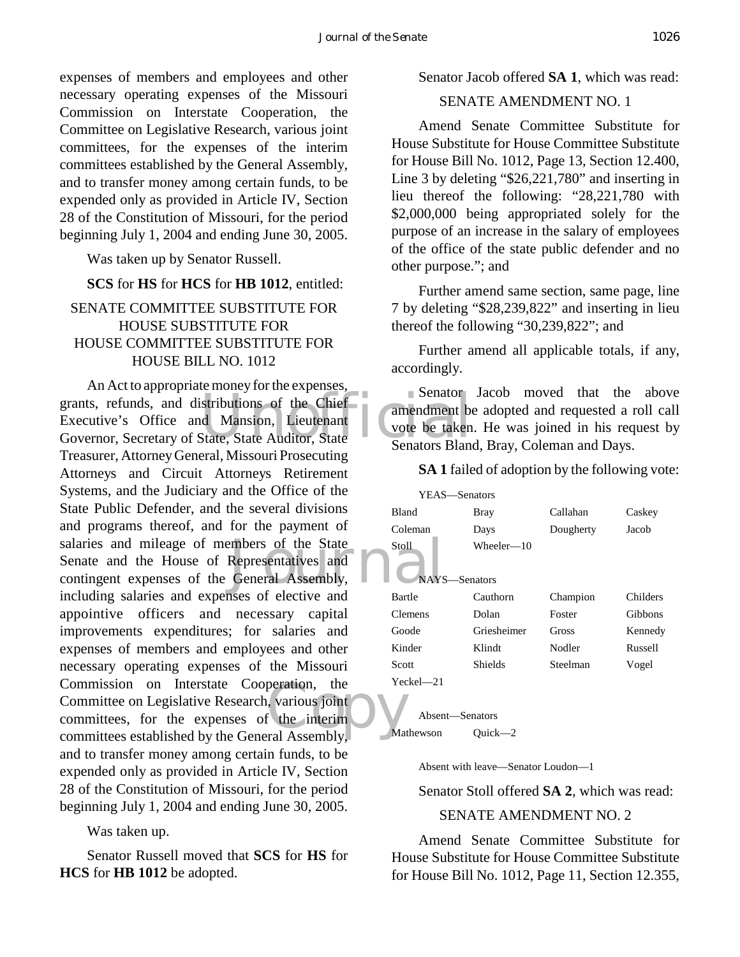expenses of members and employees and other necessary operating expenses of the Missouri Commission on Interstate Cooperation, the Committee on Legislative Research, various joint committees, for the expenses of the interim committees established by the General Assembly, and to transfer money among certain funds, to be expended only as provided in Article IV, Section 28 of the Constitution of Missouri, for the period beginning July 1, 2004 and ending June 30, 2005.

Was taken up by Senator Russell.

#### **SCS** for **HS** for **HCS** for **HB 1012**, entitled:

# SENATE COMMITTEE SUBSTITUTE FOR HOUSE SUBSTITUTE FOR HOUSE COMMITTEE SUBSTITUTE FOR HOUSE BILL NO. 1012

Senator<br>
de Mansion, Lieutenant<br>
State, State Auditor, State<br>
Senators Blanc embers of the State<br>
Representatives and<br>
General Assembly,<br>
Sexes of elective and<br>
Representative and peration, the recession of the interimental Assembly. An Act to appropriate money for the expenses, grants, refunds, and distributions of the Chief Executive's Office and Mansion, Lieutenant Governor, Secretary of State, State Auditor, State Treasurer, Attorney General, Missouri Prosecuting Attorneys and Circuit Attorneys Retirement Systems, and the Judiciary and the Office of the State Public Defender, and the several divisions and programs thereof, and for the payment of salaries and mileage of members of the State Senate and the House of Representatives and contingent expenses of the General Assembly, including salaries and expenses of elective and appointive officers and necessary capital improvements expenditures; for salaries and expenses of members and employees and other necessary operating expenses of the Missouri Commission on Interstate Cooperation, the Committee on Legislative Research, various joint committees, for the expenses of the interim committees established by the General Assembly, and to transfer money among certain funds, to be expended only as provided in Article IV, Section 28 of the Constitution of Missouri, for the period beginning July 1, 2004 and ending June 30, 2005.

Was taken up.

Senator Russell moved that **SCS** for **HS** for **HCS** for **HB 1012** be adopted.

Senator Jacob offered **SA 1**, which was read:

### SENATE AMENDMENT NO. 1

Amend Senate Committee Substitute for House Substitute for House Committee Substitute for House Bill No. 1012, Page 13, Section 12.400, Line 3 by deleting "\$26,221,780" and inserting in lieu thereof the following: "28,221,780 with \$2,000,000 being appropriated solely for the purpose of an increase in the salary of employees of the office of the state public defender and no other purpose."; and

Further amend same section, same page, line 7 by deleting "\$28,239,822" and inserting in lieu thereof the following "30,239,822"; and

Further amend all applicable totals, if any, accordingly.

Senator Jacob moved that the above amendment be adopted and requested a roll call vote be taken. He was joined in his request by Senators Bland, Bray, Coleman and Days.

**SA 1** failed of adoption by the following vote:

| YEAS-Senators |                             |           |          |  |
|---------------|-----------------------------|-----------|----------|--|
| <b>Bland</b>  | <b>Bray</b>                 | Callahan  | Caskey   |  |
| Coleman       | Days                        | Dougherty | Jacob    |  |
| Stoll         | Wheeler—10<br>NAYS-Senators |           |          |  |
| <b>Bartle</b> | Cauthorn                    | Champion  | Childers |  |
| Clemens       | Dolan                       | Foster    | Gibbons  |  |
| Goode         | Griesheimer                 | Gross     | Kennedy  |  |
| Kinder        | Klindt                      | Nodler    | Russell  |  |
| Scott         | Shields                     | Steelman  | Vogel    |  |
| Yeckel—21     |                             |           |          |  |

Absent—Senators Mathewson Quick—2

Absent with leave—Senator Loudon—1

Senator Stoll offered **SA 2**, which was read:

#### SENATE AMENDMENT NO. 2

Amend Senate Committee Substitute for House Substitute for House Committee Substitute for House Bill No. 1012, Page 11, Section 12.355,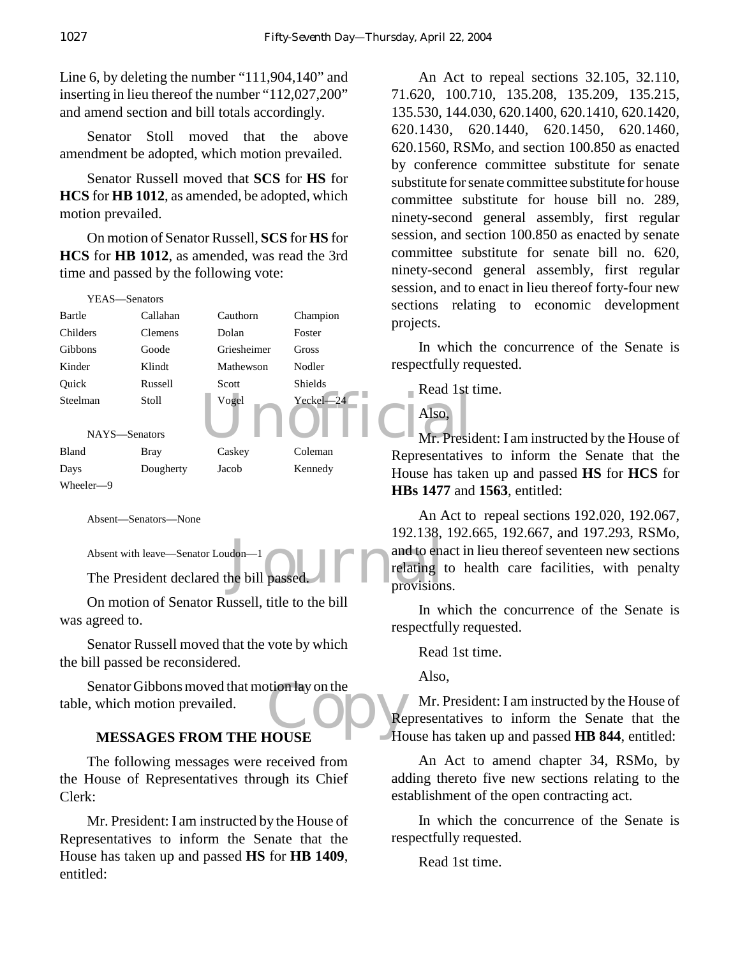Line 6, by deleting the number "111,904,140" and inserting in lieu thereof the number "112,027,200" and amend section and bill totals accordingly.

Senator Stoll moved that the above amendment be adopted, which motion prevailed.

Senator Russell moved that **SCS** for **HS** for **HCS** for **HB 1012**, as amended, be adopted, which motion prevailed.

On motion of Senator Russell, **SCS** for **HS** for **HCS** for **HB 1012**, as amended, was read the 3rd time and passed by the following vote:

| YEAS—Senators  |                |             |                | 5000000<br>sections<br>rela |
|----------------|----------------|-------------|----------------|-----------------------------|
| Bartle         | Callahan       | Cauthorn    | Champion       | projects.                   |
| Childers       | <b>Clemens</b> | Dolan       | Foster         |                             |
| <b>Gibbons</b> | Goode          | Griesheimer | <b>Gross</b>   | In which                    |
| Kinder         | Klindt         | Mathewson   | Nodler         | respectfully re             |
| Ouick          | Russell        | Scott       | <b>Shields</b> | Read 1st                    |
| Steelman       | Stoll          | Vogel       | $Yeckel - 24$  | Also,                       |
| NAYS-Senators  |                |             |                | Mr. Presid                  |
| Bland          | <b>Bray</b>    | Caskey      | Coleman        | Representative              |
| Days           | Dougherty      | Jacob       | Kennedy        | House has tak               |
| Wheeler-9      |                |             |                | $HRs$ 1477 and              |

Absent—Senators—None

Absent with leave—Senator Loudon—1

The President declared the bill passed.

On motion of Senator Russell, title to the bill was agreed to.

Senator Russell moved that the vote by which the bill passed be reconsidered.

Senator Gibbons moved that motion lay on the<br>
experiment which motion prevailed.<br>
NESSAGES FROM THE HOUSE table, which motion prevailed.

#### **MESSAGES FROM THE HOUSE**

The following messages were received from the House of Representatives through its Chief Clerk:

Mr. President: I am instructed by the House of Representatives to inform the Senate that the House has taken up and passed **HS** for **HB 1409**, entitled:

An Act to repeal sections 32.105, 32.110, 71.620, 100.710, 135.208, 135.209, 135.215, 135.530, 144.030, 620.1400, 620.1410, 620.1420, 620.1430, 620.1440, 620.1450, 620.1460, 620.1560, RSMo, and section 100.850 as enacted by conference committee substitute for senate substitute for senate committee substitute for house committee substitute for house bill no. 289, ninety-second general assembly, first regular session, and section 100.850 as enacted by senate committee substitute for senate bill no. 620, ninety-second general assembly, first regular session, and to enact in lieu thereof forty-four new sections relating to economic development projects.

In which the concurrence of the Senate is respectfully requested.

Read 1st time.

Also,

# Mr. President: I am instructed by the House of Representatives to inform the Senate that the House has taken up and passed **HS** for **HCS** for **HBs 1477** and **1563**, entitled:

don-1<br>he bill passed. An Act to repeal sections 192.020, 192.067, 192.138, 192.665, 192.667, and 197.293, RSMo, and to enact in lieu thereof seventeen new sections relating to health care facilities, with penalty provisions.

> In which the concurrence of the Senate is respectfully requested.

Read 1st time.

Also,

Mr. President: I am instructed by the House of Representatives to inform the Senate that the House has taken up and passed **HB 844**, entitled:

An Act to amend chapter 34, RSMo, by adding thereto five new sections relating to the establishment of the open contracting act.

In which the concurrence of the Senate is respectfully requested.

Read 1st time.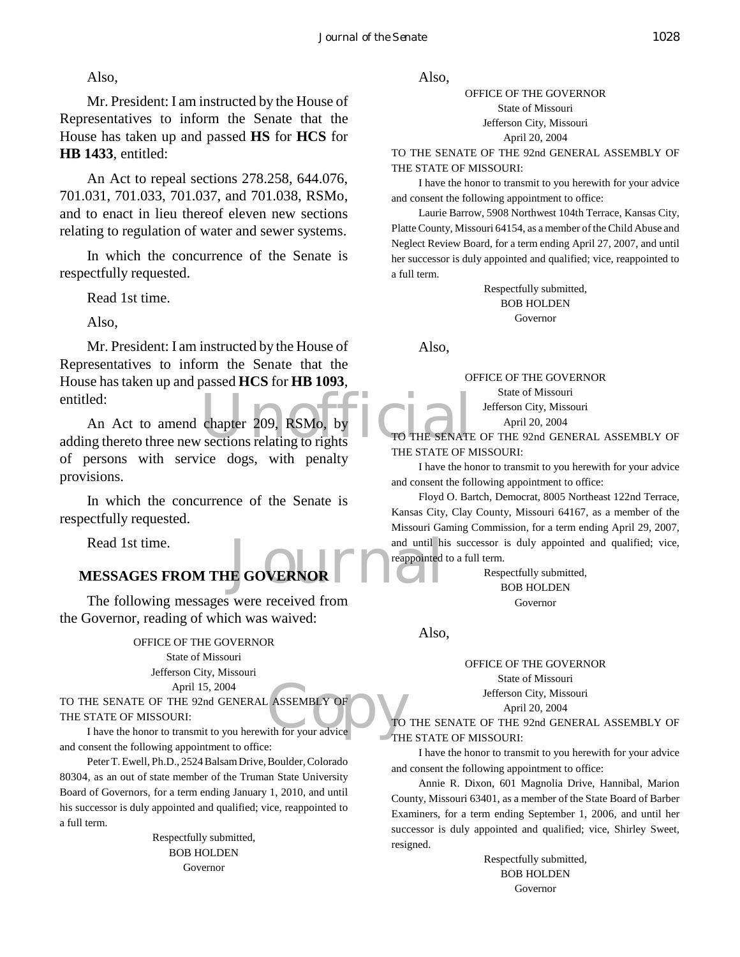Mr. President: I am instructed by the House of Representatives to inform the Senate that the House has taken up and passed **HS** for **HCS** for **HB 1433**, entitled:

An Act to repeal sections 278.258, 644.076, 701.031, 701.033, 701.037, and 701.038, RSMo, and to enact in lieu thereof eleven new sections relating to regulation of water and sewer systems.

In which the concurrence of the Senate is respectfully requested.

Read 1st time.

Also,

Mr. President: I am instructed by the House of Representatives to inform the Senate that the House has taken up and passed **HCS** for **HB 1093**, entitled:

entitled:<br>
An Act to amend chapter 209, RSMo, by<br>
adding thereto three new sections relating to rights<br>
TO THE SENATE An Act to amend chapter 209, RSMo, by of persons with service dogs, with penalty provisions.

In which the concurrence of the Senate is respectfully requested.

Read 1st time.

# and until his<br>IE GOVERNOR **MESSAGES FROM THE GOVERNOR**

The following messages were received from the Governor, reading of which was waived:

> OFFICE OF THE GOVERNOR State of Missouri Jefferson City, Missouri April 15, 2004

April 15, 2004<br>
HE SENATE OF THE 92nd GENERAL ASSEMBLY OF<br>
I have the honor to transmit to you herewith for your advice TO THE SENATE OF THE 92nd GENERAL ASSEMBLY OF THE STATE OF MISSOURI:

and consent the following appointment to office:

Peter T. Ewell, Ph.D., 2524 Balsam Drive, Boulder, Colorado 80304, as an out of state member of the Truman State University Board of Governors, for a term ending January 1, 2010, and until his successor is duly appointed and qualified; vice, reappointed to a full term.

> Respectfully submitted, BOB HOLDEN Governor

Also,

OFFICE OF THE GOVERNOR State of Missouri Jefferson City, Missouri April 20, 2004

TO THE SENATE OF THE 92nd GENERAL ASSEMBLY OF THE STATE OF MISSOURI:

I have the honor to transmit to you herewith for your advice and consent the following appointment to office:

Laurie Barrow, 5908 Northwest 104th Terrace, Kansas City, Platte County, Missouri 64154, as a member of the Child Abuse and Neglect Review Board, for a term ending April 27, 2007, and until her successor is duly appointed and qualified; vice, reappointed to a full term.

> Respectfully submitted, BOB HOLDEN Governor

Also,

OFFICE OF THE GOVERNOR

State of Missouri Jefferson City, Missouri

April 20, 2004

SENATE OF THE 92nd GENERAL ASSEMBLY OF THE STATE OF MISSOURI:

I have the honor to transmit to you herewith for your advice and consent the following appointment to office:

Floyd O. Bartch, Democrat, 8005 Northeast 122nd Terrace, Kansas City, Clay County, Missouri 64167, as a member of the Missouri Gaming Commission, for a term ending April 29, 2007, and until his successor is duly appointed and qualified; vice, reappointed to a full term.

> Respectfully submitted, BOB HOLDEN Governor

Also,

OFFICE OF THE GOVERNOR State of Missouri

Jefferson City, Missouri

April 20, 2004

TO THE SENATE OF THE 92nd GENERAL ASSEMBLY OF THE STATE OF MISSOURI:

I have the honor to transmit to you herewith for your advice and consent the following appointment to office:

Annie R. Dixon, 601 Magnolia Drive, Hannibal, Marion County, Missouri 63401, as a member of the State Board of Barber Examiners, for a term ending September 1, 2006, and until her successor is duly appointed and qualified; vice, Shirley Sweet, resigned.

> Respectfully submitted, BOB HOLDEN Governor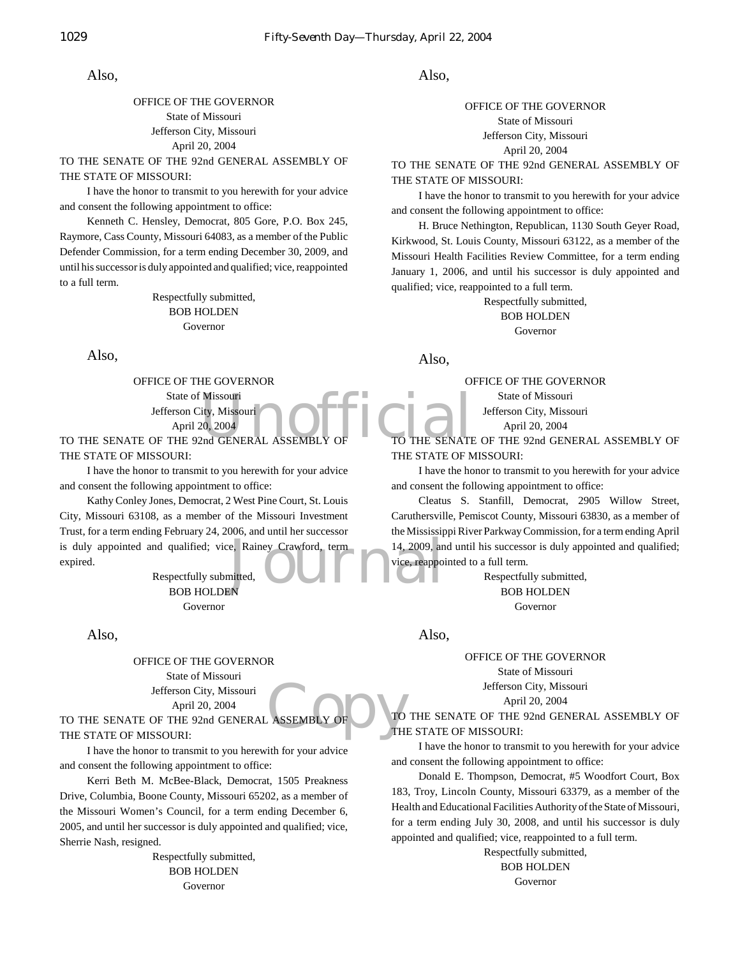#### OFFICE OF THE GOVERNOR State of Missouri Jefferson City, Missouri April 20, 2004

TO THE SENATE OF THE 92nd GENERAL ASSEMBLY OF THE STATE OF MISSOURI:

I have the honor to transmit to you herewith for your advice and consent the following appointment to office:

Kenneth C. Hensley, Democrat, 805 Gore, P.O. Box 245, Raymore, Cass County, Missouri 64083, as a member of the Public Defender Commission, for a term ending December 30, 2009, and until his successor is duly appointed and qualified; vice, reappointed to a full term.

> Respectfully submitted, BOB HOLDEN Governor

Also,

Missouri<br>20, 2004<br>And GENERAL ASSEMBLY OF THE SENATE OFFICE OF THE GOVERNOR State of Missouri Jefferson City, Missouri April 20, 2004 TO THE SENATE OF THE 92nd GENERAL ASSEMBLY

THE STATE OF MISSOURI:

I have the honor to transmit to you herewith for your advice and consent the following appointment to office:

e, Rainey Crawford, term<br>mitted,<br>N. Kathy Conley Jones, Democrat, 2 West Pine Court, St. Louis City, Missouri 63108, as a member of the Missouri Investment Trust, for a term ending February 24, 2006, and until her successor is duly appointed and qualified; vice, Rainey Crawford, term expired.

Respectfully submitted, BOB HOLDEN Governor

Also,

OFFICE OF THE GOVERNOR State of Missouri Jefferson City, Missouri April 20, 2004

TO THE SENATE OF THE 92nd GENERAL ASSEMBLY OF THE STATE OF MISSOURI:

I have the honor to transmit to you herewith for your advice and consent the following appointment to office:

Kerri Beth M. McBee-Black, Democrat, 1505 Preakness Drive, Columbia, Boone County, Missouri 65202, as a member of the Missouri Women's Council, for a term ending December 6, 2005, and until her successor is duly appointed and qualified; vice, Sherrie Nash, resigned.

> Respectfully submitted, BOB HOLDEN Governor

Also,

OFFICE OF THE GOVERNOR State of Missouri Jefferson City, Missouri April 20, 2004

TO THE SENATE OF THE 92nd GENERAL ASSEMBLY OF THE STATE OF MISSOURI:

I have the honor to transmit to you herewith for your advice and consent the following appointment to office:

H. Bruce Nethington, Republican, 1130 South Geyer Road, Kirkwood, St. Louis County, Missouri 63122, as a member of the Missouri Health Facilities Review Committee, for a term ending January 1, 2006, and until his successor is duly appointed and qualified; vice, reappointed to a full term.

> Respectfully submitted, BOB HOLDEN Governor

Also,

OFFICE OF THE GOVERNOR State of Missouri

Jefferson City, Missouri

April 20, 2004

TO THE SENATE OF THE 92nd GENERAL ASSEMBLY OF THE STATE OF MISSOURI:

I have the honor to transmit to you herewith for your advice and consent the following appointment to office:

Cleatus S. Stanfill, Democrat, 2905 Willow Street, Caruthersville, Pemiscot County, Missouri 63830, as a member of the Mississippi River Parkway Commission, for a term ending April 14, 2009, and until his successor is duly appointed and qualified; vice, reappointed to a full term.

> Respectfully submitted, BOB HOLDEN Governor

Also,

OFFICE OF THE GOVERNOR

State of Missouri Jefferson City, Missouri

April 20, 2004

ASSEMBLY OF CONTROL TO THE SENATE OF THE 92nd GENERAL ASSEMBLY OF THE STATE OF MISSOURI:

I have the honor to transmit to you herewith for your advice and consent the following appointment to office:

Donald E. Thompson, Democrat, #5 Woodfort Court, Box 183, Troy, Lincoln County, Missouri 63379, as a member of the Health and Educational Facilities Authority of the State of Missouri, for a term ending July 30, 2008, and until his successor is duly appointed and qualified; vice, reappointed to a full term.

Respectfully submitted,

BOB HOLDEN Governor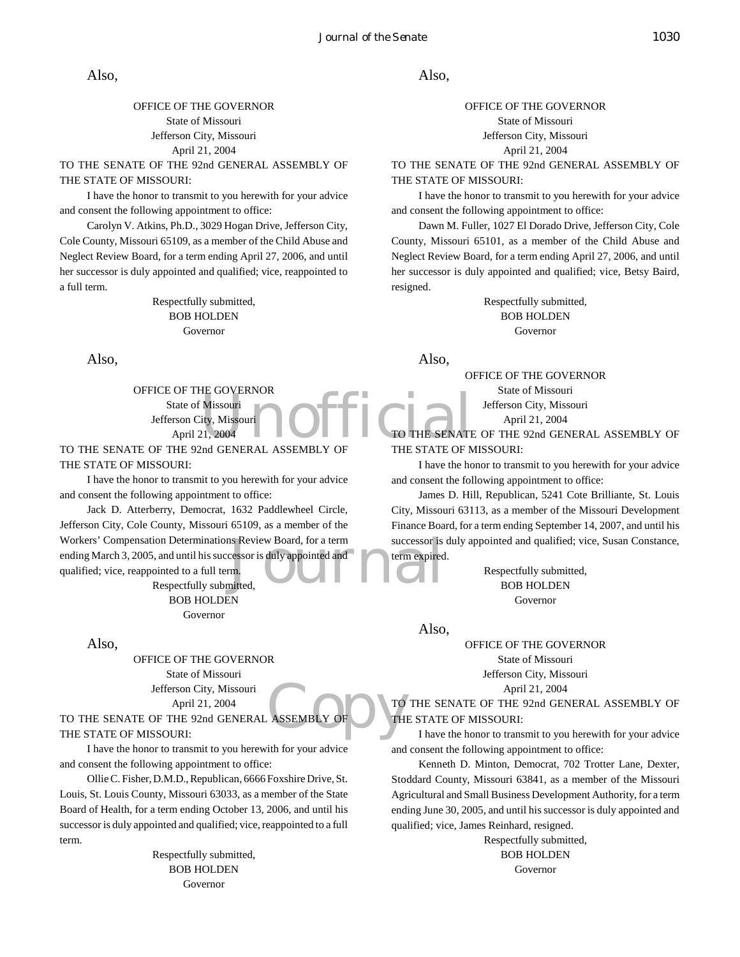#### OFFICE OF THE GOVERNOR State of Missouri Jefferson City, Missouri April 21, 2004

TO THE SENATE OF THE 92nd GENERAL ASSEMBLY OF THE STATE OF MISSOURI:

I have the honor to transmit to you herewith for your advice and consent the following appointment to office:

Carolyn V. Atkins, Ph.D., 3029 Hogan Drive, Jefferson City, Cole County, Missouri 65109, as a member of the Child Abuse and Neglect Review Board, for a term ending April 27, 2006, and until her successor is duly appointed and qualified; vice, reappointed to a full term.

> Respectfully submitted, BOB HOLDEN Governor

Also,

Missouri<br>
Missouri<br>
21, 2004<br>
Prof GENERAL ASSEMBLY OF THE SENATE OFFICE OF THE GOVERNOR State of Missouri Jefferson City, Missouri April 21, 2004

TO THE SENATE OF THE 92nd GENERAL ASSEMBLY OF THE STATE OF MISSOURI:

I have the honor to transmit to you herewith for your advice and consent the following appointment to office:

Solution Board, for a term<br>
Successor is duly appointed and<br>
The successor is term expired<br>
The successor is duly appointed and<br>
The successor is term expired<br>  $\blacksquare$ Jack D. Atterberry, Democrat, 1632 Paddlewheel Circle, Jefferson City, Cole County, Missouri 65109, as a member of the Workers' Compensation Determinations Review Board, for a term ending March 3, 2005, and until his successor is duly appointed and qualified; vice, reappointed to a full term.

Respectfully submitted, BOB HOLDEN Governor

Also,

OFFICE OF THE GOVERNOR State of Missouri Jefferson City, Missouri April 21, 2004

TO THE SENATE OF THE 92nd GENERAL ASSEMBLY OF THE STATE OF MISSOURI:

I have the honor to transmit to you herewith for your advice and consent the following appointment to office:

Ollie C. Fisher, D.M.D., Republican, 6666 Foxshire Drive, St. Louis, St. Louis County, Missouri 63033, as a member of the State Board of Health, for a term ending October 13, 2006, and until his successor is duly appointed and qualified; vice, reappointed to a full term.

> Respectfully submitted, BOB HOLDEN Governor

Also,

OFFICE OF THE GOVERNOR State of Missouri Jefferson City, Missouri April 21, 2004

TO THE SENATE OF THE 92nd GENERAL ASSEMBLY OF THE STATE OF MISSOURI:

I have the honor to transmit to you herewith for your advice and consent the following appointment to office:

Dawn M. Fuller, 1027 El Dorado Drive, Jefferson City, Cole County, Missouri 65101, as a member of the Child Abuse and Neglect Review Board, for a term ending April 27, 2006, and until her successor is duly appointed and qualified; vice, Betsy Baird, resigned.

> Respectfully submitted, BOB HOLDEN Governor

Also,

OFFICE OF THE GOVERNOR

State of Missouri Jefferson City, Missouri April 21, 2004

THE SENATE OF THE 92nd GENERAL ASSEMBLY OF THE STATE OF MISSOURI:

I have the honor to transmit to you herewith for your advice and consent the following appointment to office:

James D. Hill, Republican, 5241 Cote Brilliante, St. Louis City, Missouri 63113, as a member of the Missouri Development Finance Board, for a term ending September 14, 2007, and until his successor is duly appointed and qualified; vice, Susan Constance, term expired.

> Respectfully submitted, BOB HOLDEN Governor

Also,

OFFICE OF THE GOVERNOR State of Missouri

Jefferson City, Missouri

April 21, 2004

ASSEMBLY OF COMPANY TO THE SENATE OF THE 92nd GENERAL ASSEMBLY OF THE STATE OF MISSOURI:

I have the honor to transmit to you herewith for your advice and consent the following appointment to office:

Kenneth D. Minton, Democrat, 702 Trotter Lane, Dexter, Stoddard County, Missouri 63841, as a member of the Missouri Agricultural and Small Business Development Authority, for a term ending June 30, 2005, and until his successor is duly appointed and qualified; vice, James Reinhard, resigned.

> Respectfully submitted, BOB HOLDEN Governor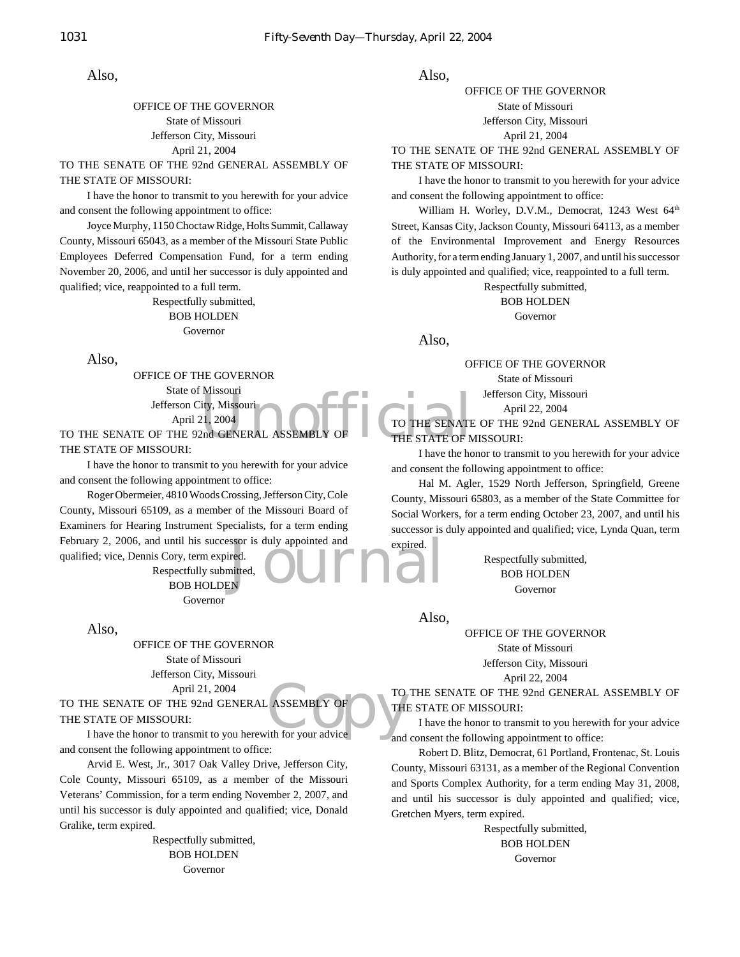#### OFFICE OF THE GOVERNOR State of Missouri Jefferson City, Missouri April 21, 2004

TO THE SENATE OF THE 92nd GENERAL ASSEMBLY OF THE STATE OF MISSOURI:

I have the honor to transmit to you herewith for your advice and consent the following appointment to office:

Joyce Murphy, 1150 Choctaw Ridge, Holts Summit, Callaway County, Missouri 65043, as a member of the Missouri State Public Employees Deferred Compensation Fund, for a term ending November 20, 2006, and until her successor is duly appointed and qualified; vice, reappointed to a full term.

> Respectfully submitted, BOB HOLDEN Governor

Also,

Missouri<br>
21, 2004<br>
Pha GENERAL ASSEMBLY OF THE STATE OF N<br>
THE STATE OF N OFFICE OF THE GOVERNOR State of Missouri Jefferson City, Missouri April 21, 2004

TO THE SENATE OF THE 92nd GENERAL ASSEMBLY THE STATE OF MISSOURI:

I have the honor to transmit to you herewith for your advice and consent the following appointment to office:

ssor is duly appointed and<br>
red.<br>
initted,<br>
N Roger Obermeier, 4810 Woods Crossing, Jefferson City, Cole County, Missouri 65109, as a member of the Missouri Board of Examiners for Hearing Instrument Specialists, for a term ending February 2, 2006, and until his successor is duly appointed and qualified; vice, Dennis Cory, term expired.

Respectfully submitted, BOB HOLDEN Governor

Also,

OFFICE OF THE GOVERNOR State of Missouri Jefferson City, Missouri April 21, 2004

ASSEMBLY OF THE TO THE SENATE OF THE 92nd GENERAL ASSEMBLY OF THE STATE OF MISSOURI:

I have the honor to transmit to you herewith for your advice and consent the following appointment to office:

Arvid E. West, Jr., 3017 Oak Valley Drive, Jefferson City, Cole County, Missouri 65109, as a member of the Missouri Veterans' Commission, for a term ending November 2, 2007, and until his successor is duly appointed and qualified; vice, Donald Gralike, term expired.

> Respectfully submitted, BOB HOLDEN Governor

Also,

OFFICE OF THE GOVERNOR State of Missouri Jefferson City, Missouri April 21, 2004

TO THE SENATE OF THE 92nd GENERAL ASSEMBLY OF THE STATE OF MISSOURI:

I have the honor to transmit to you herewith for your advice and consent the following appointment to office:

William H. Worley, D.V.M., Democrat, 1243 West 64<sup>th</sup> Street, Kansas City, Jackson County, Missouri 64113, as a member of the Environmental Improvement and Energy Resources Authority, for a term ending January 1, 2007, and until his successor is duly appointed and qualified; vice, reappointed to a full term.

Respectfully submitted,

BOB HOLDEN

Governor

Also,

OFFICE OF THE GOVERNOR

State of Missouri

Jefferson City, Missouri

April 22, 2004

TO THE SENATE OF THE 92nd GENERAL ASSEMBLY OF THE STATE OF MISSOURI:

I have the honor to transmit to you herewith for your advice and consent the following appointment to office:

Hal M. Agler, 1529 North Jefferson, Springfield, Greene County, Missouri 65803, as a member of the State Committee for Social Workers, for a term ending October 23, 2007, and until his successor is duly appointed and qualified; vice, Lynda Quan, term expired.

> Respectfully submitted, BOB HOLDEN Governor

Also,

OFFICE OF THE GOVERNOR State of Missouri Jefferson City, Missouri

April 22, 2004

TO THE SENATE OF THE 92nd GENERAL ASSEMBLY OF THE STATE OF MISSOURI:

I have the honor to transmit to you herewith for your advice and consent the following appointment to office:

Robert D. Blitz, Democrat, 61 Portland, Frontenac, St. Louis County, Missouri 63131, as a member of the Regional Convention and Sports Complex Authority, for a term ending May 31, 2008, and until his successor is duly appointed and qualified; vice, Gretchen Myers, term expired.

> Respectfully submitted, BOB HOLDEN Governor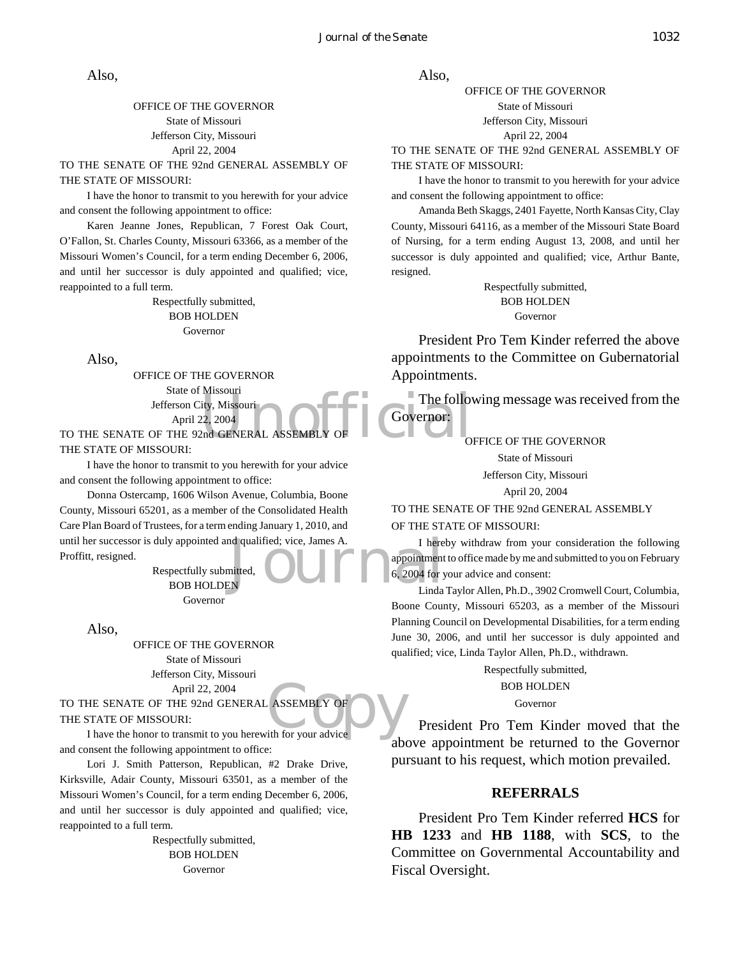#### OFFICE OF THE GOVERNOR State of Missouri Jefferson City, Missouri April 22, 2004

TO THE SENATE OF THE 92nd GENERAL ASSEMBLY OF THE STATE OF MISSOURI:

I have the honor to transmit to you herewith for your advice and consent the following appointment to office:

Karen Jeanne Jones, Republican, 7 Forest Oak Court, O'Fallon, St. Charles County, Missouri 63366, as a member of the Missouri Women's Council, for a term ending December 6, 2006, and until her successor is duly appointed and qualified; vice, reappointed to a full term.

> Respectfully submitted, BOB HOLDEN Governor

Also,

Missouri<br>
22, 2004<br>
Phot GENERAL ASSEMBLY OF COVERTON:<br>
COVERTON: OFFICE OF THE GOVERNOR State of Missouri Jefferson City, Missouri April 22, 2004

TO THE SENATE OF THE 92nd GENERAL ASSEMBLY THE STATE OF MISSOURI:

I have the honor to transmit to you herewith for your advice and consent the following appointment to office:

Until her successor is duly appointed and qualified; vice, James A. I here<br>
Proffitt, resigned.<br>
BOB HOLDEN Linda Donna Ostercamp, 1606 Wilson Avenue, Columbia, Boone County, Missouri 65201, as a member of the Consolidated Health Care Plan Board of Trustees, for a term ending January 1, 2010, and Proffitt, resigned.

Respectfully submitted, BOB HOLDEN Governor

Also,

OFFICE OF THE GOVERNOR State of Missouri Jefferson City, Missouri April 22, 2004

ASSEMBLY OF TO THE SENATE OF THE 92nd GENERAL ASSEMBLY OF THE STATE OF MISSOURI:

I have the honor to transmit to you herewith for your advice and consent the following appointment to office:

Lori J. Smith Patterson, Republican, #2 Drake Drive, Kirksville, Adair County, Missouri 63501, as a member of the Missouri Women's Council, for a term ending December 6, 2006, and until her successor is duly appointed and qualified; vice, reappointed to a full term.

> Respectfully submitted, BOB HOLDEN Governor

Also,

OFFICE OF THE GOVERNOR State of Missouri Jefferson City, Missouri April 22, 2004

TO THE SENATE OF THE 92nd GENERAL ASSEMBLY OF THE STATE OF MISSOURI:

I have the honor to transmit to you herewith for your advice and consent the following appointment to office:

Amanda Beth Skaggs, 2401 Fayette, North Kansas City, Clay County, Missouri 64116, as a member of the Missouri State Board of Nursing, for a term ending August 13, 2008, and until her successor is duly appointed and qualified; vice, Arthur Bante, resigned.

> Respectfully submitted, BOB HOLDEN Governor

President Pro Tem Kinder referred the above appointments to the Committee on Gubernatorial Appointments.

The following message was received from the Governor:

OFFICE OF THE GOVERNOR

State of Missouri

Jefferson City, Missouri

April 20, 2004

TO THE SENATE OF THE 92nd GENERAL ASSEMBLY OF THE STATE OF MISSOURI:

I hereby withdraw from your consideration the following appointment to office made by me and submitted to you on February 6, 2004 for your advice and consent:

Linda Taylor Allen, Ph.D., 3902 Cromwell Court, Columbia, Boone County, Missouri 65203, as a member of the Missouri Planning Council on Developmental Disabilities, for a term ending June 30, 2006, and until her successor is duly appointed and qualified; vice, Linda Taylor Allen, Ph.D., withdrawn.

> Respectfully submitted, BOB HOLDEN

> > Governor

President Pro Tem Kinder moved that the above appointment be returned to the Governor pursuant to his request, which motion prevailed.

#### **REFERRALS**

President Pro Tem Kinder referred **HCS** for **HB 1233** and **HB 1188**, with **SCS**, to the Committee on Governmental Accountability and Fiscal Oversight.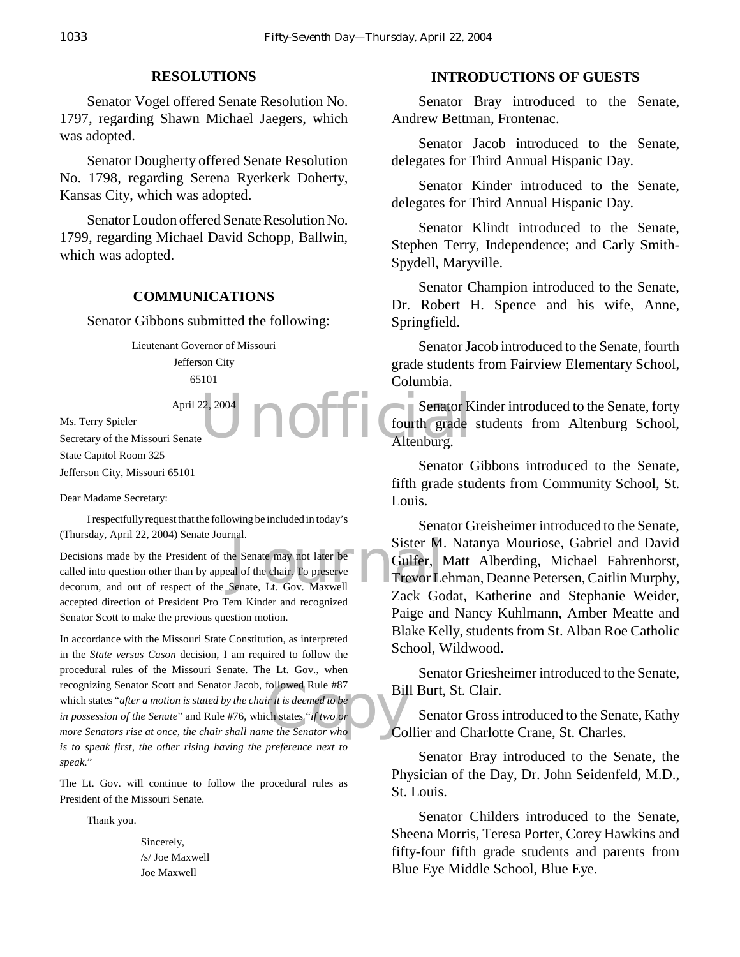#### **RESOLUTIONS**

Senator Vogel offered Senate Resolution No. 1797, regarding Shawn Michael Jaegers, which was adopted.

Senator Dougherty offered Senate Resolution No. 1798, regarding Serena Ryerkerk Doherty, Kansas City, which was adopted.

Senator Loudon offered Senate Resolution No. 1799, regarding Michael David Schopp, Ballwin, which was adopted.

#### **COMMUNICATIONS**

Senator Gibbons submitted the following:

Lieutenant Governor of Missouri Jefferson City 65101

April 22, 2004

Ms. Terry Spieler Secretary of the Missouri Senate State Capitol Room 325 Jefferson City, Missouri 65101

Dear Madame Secretary:

I respectfully request that the following be included in today's (Thursday, April 22, 2004) Senate Journal.

Sister M.<br>
Sister M.<br>
al of the chair. To preserve<br>
Senate, Lt. Gov. Maxwell<br>
Trevor Le Decisions made by the President of the Senate may not later be called into question other than by appeal of the chair. To preserve decorum, and out of respect of the Senate, Lt. Gov. Maxwell accepted direction of President Pro Tem Kinder and recognized Senator Scott to make the previous question motion.

recognizing Senator Scott and Senator Jacob, followed Rule #87<br>
which states "*after a motion is stated by the chair it is deemed to be*<br> *in possession of the Senate*" and Rule #76, which states "*if two or*<br> *more Senato* In accordance with the Missouri State Constitution, as interpreted in the *State versus Cason* decision, I am required to follow the procedural rules of the Missouri Senate. The Lt. Gov., when recognizing Senator Scott and Senator Jacob, followed Rule #87 which states "*after a motion is stated by the chair it is deemed to be in possession of the Senate*" and Rule #76, which states "*if two or is to speak first, the other rising having the preference next to speak*."

The Lt. Gov. will continue to follow the procedural rules as President of the Missouri Senate.

Thank you.

Sincerely, /s/ Joe Maxwell Joe Maxwell

#### **INTRODUCTIONS OF GUESTS**

Senator Bray introduced to the Senate, Andrew Bettman, Frontenac.

Senator Jacob introduced to the Senate, delegates for Third Annual Hispanic Day.

Senator Kinder introduced to the Senate, delegates for Third Annual Hispanic Day.

Senator Klindt introduced to the Senate, Stephen Terry, Independence; and Carly Smith-Spydell, Maryville.

Senator Champion introduced to the Senate, Dr. Robert H. Spence and his wife, Anne, Springfield.

Senator Jacob introduced to the Senate, fourth grade students from Fairview Elementary School, Columbia.

22, 2004 **Senator K**<br> **UNOFFICIAL Senator K**<br> **CONFICIAL Senator K**<br> **CONFICIAL Senator K**<br> **CONFICIAL Senator K**<br> **CONFICIAL Senator K** Senator Kinder introduced to the Senate, forty fourth grade students from Altenburg School, Altenburg.

> Senator Gibbons introduced to the Senate, fifth grade students from Community School, St. Louis.

> Senator Greisheimer introduced to the Senate, Sister M. Natanya Mouriose, Gabriel and David Gulfer, Matt Alberding, Michael Fahrenhorst, Trevor Lehman, Deanne Petersen, Caitlin Murphy, Zack Godat, Katherine and Stephanie Weider, Paige and Nancy Kuhlmann, Amber Meatte and Blake Kelly, students from St. Alban Roe Catholic School, Wildwood.

> Senator Griesheimer introduced to the Senate, Bill Burt, St. Clair.

> Senator Gross introduced to the Senate, Kathy Collier and Charlotte Crane, St. Charles.

> Senator Bray introduced to the Senate, the Physician of the Day, Dr. John Seidenfeld, M.D., St. Louis.

> Senator Childers introduced to the Senate, Sheena Morris, Teresa Porter, Corey Hawkins and fifty-four fifth grade students and parents from Blue Eye Middle School, Blue Eye.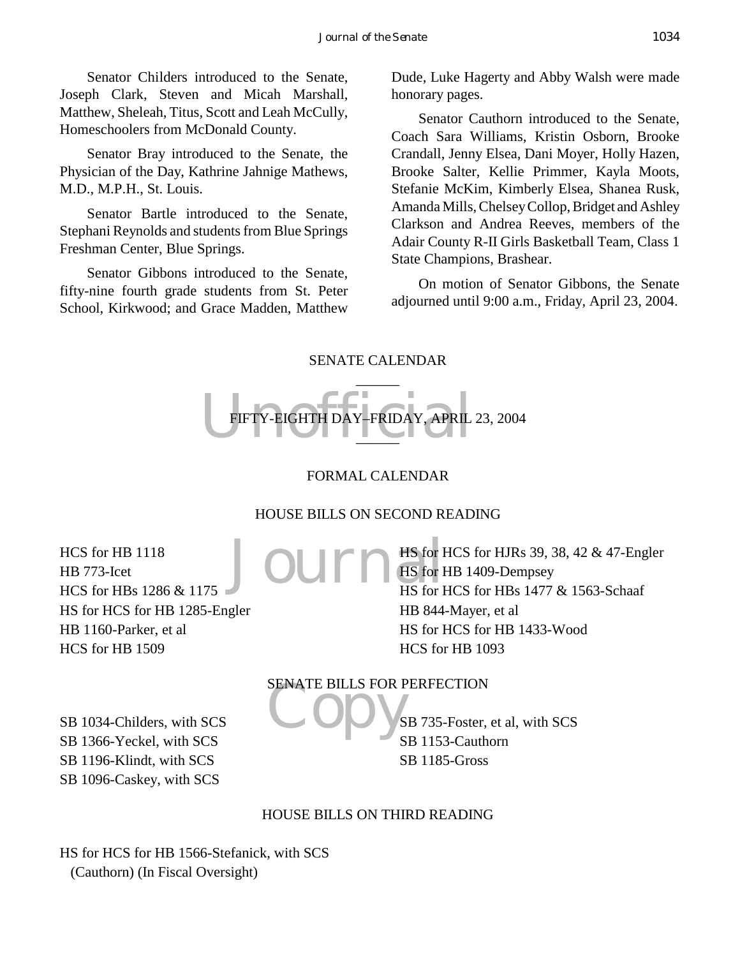Senator Childers introduced to the Senate, Joseph Clark, Steven and Micah Marshall, Matthew, Sheleah, Titus, Scott and Leah McCully, Homeschoolers from McDonald County.

Senator Bray introduced to the Senate, the Physician of the Day, Kathrine Jahnige Mathews, M.D., M.P.H., St. Louis.

Senator Bartle introduced to the Senate, Stephani Reynolds and students from Blue Springs Freshman Center, Blue Springs.

Senator Gibbons introduced to the Senate, fifty-nine fourth grade students from St. Peter School, Kirkwood; and Grace Madden, Matthew

Dude, Luke Hagerty and Abby Walsh were made honorary pages.

Senator Cauthorn introduced to the Senate, Coach Sara Williams, Kristin Osborn, Brooke Crandall, Jenny Elsea, Dani Moyer, Holly Hazen, Brooke Salter, Kellie Primmer, Kayla Moots, Stefanie McKim, Kimberly Elsea, Shanea Rusk, Amanda Mills, Chelsey Collop, Bridget and Ashley Clarkson and Andrea Reeves, members of the Adair County R-II Girls Basketball Team, Class 1 State Champions, Brashear.

On motion of Senator Gibbons, the Senate adjourned until 9:00 a.m., Friday, April 23, 2004.

## SENATE CALENDAR



# FORMAL CALENDAR

# HOUSE BILLS ON SECOND READING

HCS for HB 1118 HB 773-Icet HCS for HBs 1286 & 1175 HS for HCS for HB 1285-Engler HB 1160-Parker, et al HCS for HB 1509

Journ<sup>s for 1</sup> HS for HCS for HJRs 39, 38, 42 & 47-Engler HS for HB 1409-Dempsey HS for HCS for HBs 1477 & 1563-Schaaf HB 844-Mayer, et al HS for HCS for HB 1433-Wood HCS for HB 1093

SB 1034-Childers, with SCS SB 1366-Yeckel, with SCS SB 1196-Klindt, with SCS SB 1096-Caskey, with SCS

SENATE BILLS FOR PERFECTION SB 735-Foster, et al, with SCS SB 1153-Cauthorn SB 1185-Gross

# HOUSE BILLS ON THIRD READING

HS for HCS for HB 1566-Stefanick, with SCS (Cauthorn) (In Fiscal Oversight)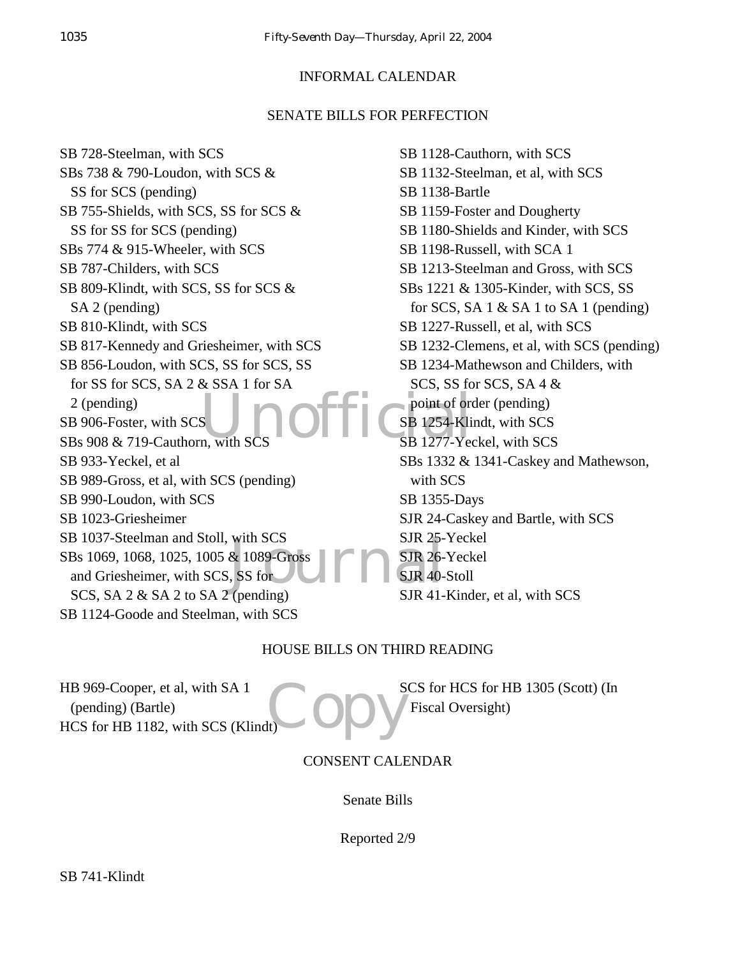# INFORMAL CALENDAR

# SENATE BILLS FOR PERFECTION

SUNOffice point of ore with SCS<br>& 1089-Gross<br>SS for<br>SUR 40-<br>(panding)<br>SUR 41 SB 728-Steelman, with SCS SBs 738 & 790-Loudon, with SCS & SS for SCS (pending) SB 755-Shields, with SCS, SS for SCS & SS for SS for SCS (pending) SBs 774 & 915-Wheeler, with SCS SB 787-Childers, with SCS SB 809-Klindt, with SCS, SS for SCS & SA 2 (pending) SB 810-Klindt, with SCS SB 817-Kennedy and Griesheimer, with SCS SB 856-Loudon, with SCS, SS for SCS, SS for SS for SCS, SA 2 & SSA 1 for SA 2 (pending) SB 906-Foster, with SCS SBs 908 & 719-Cauthorn, with SCS SB 933-Yeckel, et al SB 989-Gross, et al, with SCS (pending) SB 990-Loudon, with SCS SB 1023-Griesheimer SB 1037-Steelman and Stoll, with SCS SBs 1069, 1068, 1025, 1005 & 1089-Gross and Griesheimer, with SCS, SS for SCS, SA 2 & SA 2 to SA 2 (pending) SB 1124-Goode and Steelman, with SCS SB 1128-Cauthorn, with SCS SB 1132-Steelman, et al, with SCS SB 1138-Bartle SB 1159-Foster and Dougherty SB 1180-Shields and Kinder, with SCS SB 1198-Russell, with SCA 1 SB 1213-Steelman and Gross, with SCS SBs 1221 & 1305-Kinder, with SCS, SS for SCS, SA  $1 \&$  SA  $1$  to SA  $1$  (pending) SB 1227-Russell, et al, with SCS SB 1232-Clemens, et al, with SCS (pending) SB 1234-Mathewson and Childers, with SCS, SS for SCS, SA 4 & point of order (pending) SB 1254-Klindt, with SCS SB 1277-Yeckel, with SCS SBs 1332 & 1341-Caskey and Mathewson, with SCS SB 1355-Days SJR 24-Caskey and Bartle, with SCS SJR 25-Yeckel SJR 26-Yeckel SJR 40-Stoll SJR 41-Kinder, et al, with SCS

# HOUSE BILLS ON THIRD READING

HB 969-Cooper, et al, with SA 1 (pending) (Bartle) HCS for HB 1182, with SCS (Klindt)

Copy<sup>s</sup> SCS for HCS for HB 1305 (Scott) (In Fiscal Oversight)

# CONSENT CALENDAR

Senate Bills

Reported 2/9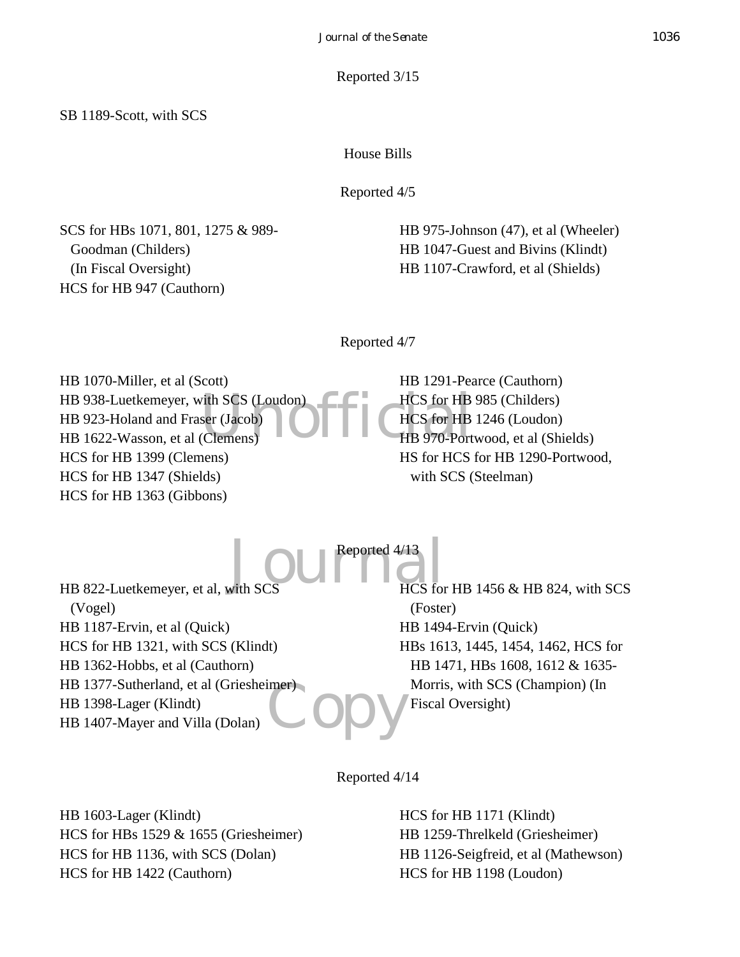#### Reported 3/15

SB 1189-Scott, with SCS

House Bills

Reported 4/5

SCS for HBs 1071, 801, 1275 & 989- Goodman (Childers) (In Fiscal Oversight) HCS for HB 947 (Cauthorn)

HB 975-Johnson (47), et al (Wheeler) HB 1047-Guest and Bivins (Klindt) HB 1107-Crawford, et al (Shields)

Reported 4/7

Vith SCS (Loudon)<br>ser (Jacob)<br>(Clemens)<br>DECLACS for HB<br>HB 970-Port HB 1070-Miller, et al (Scott) HB 938-Luetkemeyer, with SCS (Loudon) HB 923-Holand and Fraser (Jacob) HB 1622-Wasson, et al (Clemens) HCS for HB 1399 (Clemens) HCS for HB 1347 (Shields) HCS for HB 1363 (Gibbons)

HB 1291-Pearce (Cauthorn) HCS for HB 985 (Childers) HCS for HB 1246 (Loudon) HB 970-Portwood, et al (Shields) HS for HCS for HB 1290-Portwood, with SCS (Steelman)

 $J_{\text{with SCS}}$   $\text{HCS}_{\text{for}}$ Reported 4/13

**Copy** HB 822-Luetkemeyer, et al, with SCS (Vogel) HB 1187-Ervin, et al (Quick) HCS for HB 1321, with SCS (Klindt) HB 1362-Hobbs, et al (Cauthorn) HB 1377-Sutherland, et al (Griesheimer) HB 1398-Lager (Klindt) HB 1407-Mayer and Villa (Dolan)

HCS for HB 1456 & HB 824, with SCS (Foster) HB 1494-Ervin (Quick) HBs 1613, 1445, 1454, 1462, HCS for HB 1471, HBs 1608, 1612 & 1635- Morris, with SCS (Champion) (In Fiscal Oversight)

Reported 4/14

HB 1603-Lager (Klindt) HCS for HBs 1529 & 1655 (Griesheimer) HCS for HB 1136, with SCS (Dolan) HCS for HB 1422 (Cauthorn)

HCS for HB 1171 (Klindt) HB 1259-Threlkeld (Griesheimer) HB 1126-Seigfreid, et al (Mathewson) HCS for HB 1198 (Loudon)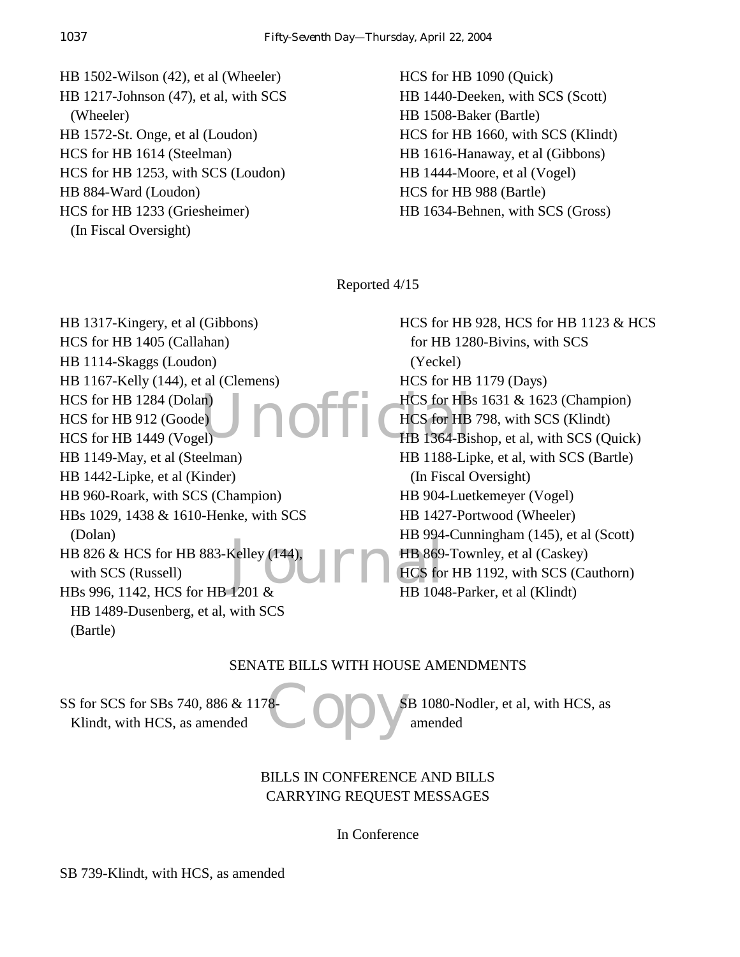HB 1502-Wilson (42), et al (Wheeler) HB 1217-Johnson (47), et al, with SCS (Wheeler) HB 1572-St. Onge, et al (Loudon) HCS for HB 1614 (Steelman) HCS for HB 1253, with SCS (Loudon) HB 884-Ward (Loudon) HCS for HB 1233 (Griesheimer) (In Fiscal Oversight)

HCS for HB 1090 (Quick) HB 1440-Deeken, with SCS (Scott) HB 1508-Baker (Bartle) HCS for HB 1660, with SCS (Klindt) HB 1616-Hanaway, et al (Gibbons) HB 1444-Moore, et al (Vogel) HCS for HB 988 (Bartle) HB 1634-Behnen, with SCS (Gross)

Reported 4/15

 $\sum_{\text{ell}}$  **DOFFICHES** for HBs Kelley (144),<br> $\begin{array}{c} \n\text{HB } 354 \\
\text{HB } 869 \\
\text{HCS for} \\
\end{array}$ HB 1317-Kingery, et al (Gibbons) HCS for HB 1405 (Callahan) HB 1114-Skaggs (Loudon) HB 1167-Kelly (144), et al (Clemens) HCS for HB 1284 (Dolan) HCS for HB 912 (Goode) HCS for HB 1449 (Vogel) HB 1149-May, et al (Steelman) HB 1442-Lipke, et al (Kinder) HB 960-Roark, with SCS (Champion) HBs 1029, 1438 & 1610-Henke, with SCS (Dolan) HB 826 & HCS for HB 883-Kelley (144), with SCS (Russell) HBs 996, 1142, HCS for HB 1201 & HB 1489-Dusenberg, et al, with SCS (Bartle)

HCS for HB 928, HCS for HB 1123 & HCS for HB 1280-Bivins, with SCS (Yeckel) HCS for HB 1179 (Days) HCS for HBs 1631 & 1623 (Champion) HCS for HB 798, with SCS (Klindt) HB 1364-Bishop, et al, with SCS (Quick) HB 1188-Lipke, et al, with SCS (Bartle) (In Fiscal Oversight) HB 904-Luetkemeyer (Vogel) HB 1427-Portwood (Wheeler) HB 994-Cunningham (145), et al (Scott) HB 869-Townley, et al (Caskey) HCS for HB 1192, with SCS (Cauthorn) HB 1048-Parker, et al (Klindt)

# SENATE BILLS WITH HOUSE AMENDMENTS

SS for SCS for SBs 740, 886 & 1178 Klindt, with HCS, as amended

Copy SB 1080-Nodler, et al, with HCS, as amended

# BILLS IN CONFERENCE AND BILLS CARRYING REQUEST MESSAGES

In Conference